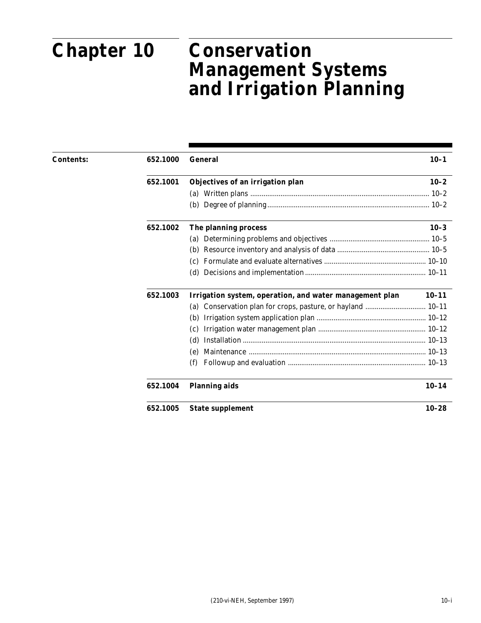# **Chapter 10**

# **Conservation Management Systems and Chapter 10 Conservation Management Systems and Irrigation Planning**

| <b>Contents:</b> | 652.1000 | <b>General</b>                                          | $10 - 1$  |
|------------------|----------|---------------------------------------------------------|-----------|
|                  | 652.1001 | Objectives of an irrigation plan                        | $10 - 2$  |
|                  |          |                                                         |           |
|                  |          |                                                         |           |
|                  | 652.1002 | The planning process                                    | $10 - 3$  |
|                  |          |                                                         |           |
|                  |          |                                                         |           |
|                  |          | (c)                                                     |           |
|                  |          | (d)                                                     |           |
|                  | 652.1003 | Irrigation system, operation, and water management plan | $10 - 11$ |
|                  |          | (a)                                                     |           |
|                  |          | (b)                                                     |           |
|                  |          | (c)                                                     |           |
|                  |          | (d)                                                     |           |
|                  |          | (e)                                                     |           |
|                  |          | (f)                                                     |           |
|                  | 652.1004 | <b>Planning aids</b>                                    | $10 - 14$ |
|                  | 652.1005 | <b>State supplement</b>                                 | $10 - 28$ |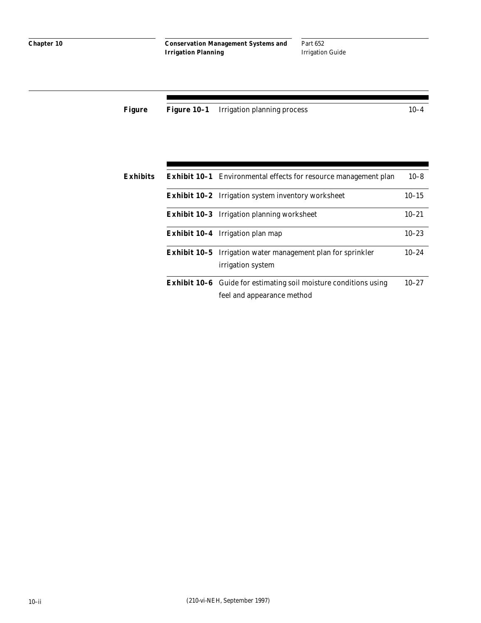Part 652 Irrigation Guide

|  | <b>Figure Figure 10-1</b> Irrigation planning process | 10–4 |
|--|-------------------------------------------------------|------|
|  |                                                       |      |

| Exhibits | <b>Exhibit 10-1</b> Environmental effects for resource management plan                                | $10 - 8$  |
|----------|-------------------------------------------------------------------------------------------------------|-----------|
|          | <b>Exhibit 10-2</b> Irrigation system inventory worksheet                                             | $10 - 15$ |
|          | <b>Exhibit 10-3</b> Irrigation planning worksheet                                                     | $10 - 21$ |
|          | <b>Exhibit 10-4</b> Irrigation plan map                                                               | $10 - 23$ |
|          | <b>Exhibit 10-5</b> Irrigation water management plan for sprinkler<br>irrigation system               | $10 - 24$ |
|          | <b>Exhibit 10-6</b> Guide for estimating soil moisture conditions using<br>feel and appearance method | $10 - 27$ |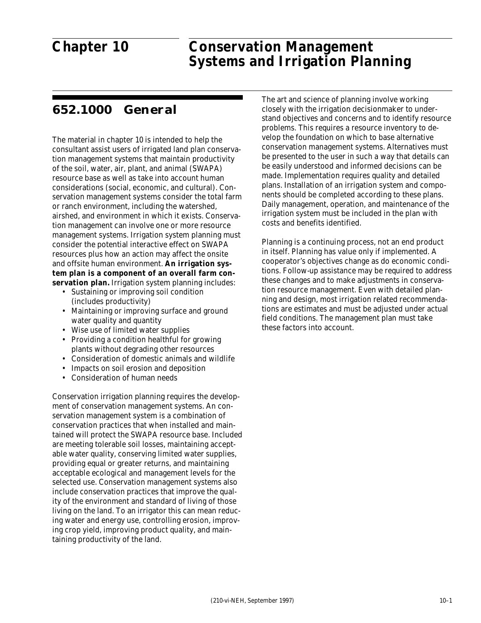# **Chapter 10**

#### Part 652  $5^{\circ}$ Conservation Mar **Chapter 10 Conservation Management Systems and Irrigation Planning**

# **652.1000 General**

The material in chapter 10 is intended to help the consultant assist users of irrigated land plan conservation management systems that maintain productivity of the soil, water, air, plant, and animal (SWAPA) resource base as well as take into account human considerations (social, economic, and cultural). Conservation management systems consider the total farm or ranch environment, including the watershed, airshed, and environment in which it exists. Conservation management can involve one or more resource management systems. Irrigation system planning must consider the potential interactive effect on SWAPA resources plus how an action may affect the onsite and offsite human environment. **An irrigation system plan is a component of an overall farm conservation plan.** Irrigation system planning includes:

- Sustaining or improving soil condition (includes productivity)
- Maintaining or improving surface and ground water quality and quantity
- Wise use of limited water supplies
- Providing a condition healthful for growing plants without degrading other resources
- Consideration of domestic animals and wildlife
- Impacts on soil erosion and deposition
- Consideration of human needs

Conservation irrigation planning requires the development of conservation management systems. An conservation management system is a combination of conservation practices that when installed and maintained will protect the SWAPA resource base. Included are meeting tolerable soil losses, maintaining acceptable water quality, conserving limited water supplies, providing equal or greater returns, and maintaining acceptable ecological and management levels for the selected use. Conservation management systems also include conservation practices that improve the quality of the environment and standard of living of those living on the land. To an irrigator this can mean reducing water and energy use, controlling erosion, improving crop yield, improving product quality, and maintaining productivity of the land.

The art and science of planning involve working closely with the irrigation decisionmaker to understand objectives and concerns and to identify resource problems. This requires a resource inventory to develop the foundation on which to base alternative conservation management systems. Alternatives must be presented to the user in such a way that details can be easily understood and informed decisions can be made. Implementation requires quality and detailed plans. Installation of an irrigation system and components should be completed according to these plans. Daily management, operation, and maintenance of the irrigation system must be included in the plan with costs and benefits identified.

Planning is a continuing process, not an end product in itself. Planning has value only if implemented. A cooperator's objectives change as do economic conditions. Follow-up assistance may be required to address these changes and to make adjustments in conservation resource management. Even with detailed planning and design, most irrigation related recommendations are estimates and must be adjusted under actual field conditions. The management plan must take these factors into account.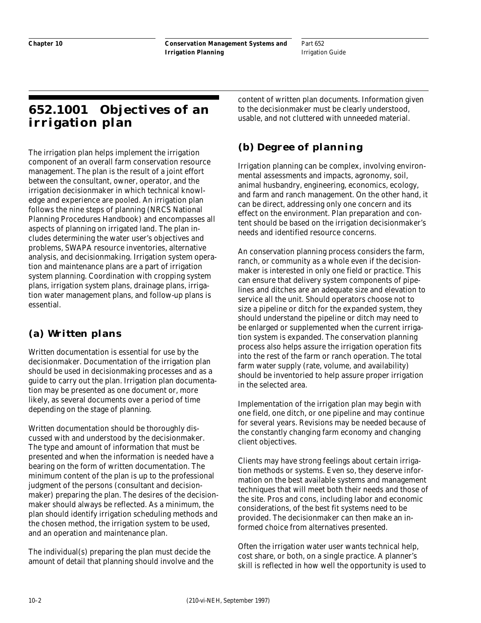Part 652 Irrigation Guide

# **652.1001 Objectives of an irrigation plan**

The irrigation plan helps implement the irrigation component of an overall farm conservation resource management. The plan is the result of a joint effort between the consultant, owner, operator, and the irrigation decisionmaker in which technical knowledge and experience are pooled. An irrigation plan follows the nine steps of planning (NRCS National Planning Procedures Handbook) and encompasses all aspects of planning on irrigated land. The plan includes determining the water user's objectives and problems, SWAPA resource inventories, alternative analysis, and decisionmaking. Irrigation system operation and maintenance plans are a part of irrigation system planning. Coordination with cropping system plans, irrigation system plans, drainage plans, irrigation water management plans, and follow-up plans is essential.

# **(a) Written plans**

Written documentation is essential for use by the decisionmaker. Documentation of the irrigation plan should be used in decisionmaking processes and as a guide to carry out the plan. Irrigation plan documentation may be presented as one document or, more likely, as several documents over a period of time depending on the stage of planning.

Written documentation should be thoroughly discussed with and understood by the decisionmaker. The type and amount of information that must be presented and when the information is needed have a bearing on the form of written documentation. The minimum content of the plan is up to the professional judgment of the persons (consultant and decisionmaker) preparing the plan. The desires of the decisionmaker should always be reflected. As a minimum, the plan should identify irrigation scheduling methods and the chosen method, the irrigation system to be used, and an operation and maintenance plan.

The individual(s) preparing the plan must decide the amount of detail that planning should involve and the

content of written plan documents. Information given to the decisionmaker must be clearly understood, usable, and not cluttered with unneeded material.

# **(b) Degree of planning**

Irrigation planning can be complex, involving environmental assessments and impacts, agronomy, soil, animal husbandry, engineering, economics, ecology, and farm and ranch management. On the other hand, it can be direct, addressing only one concern and its effect on the environment. Plan preparation and content should be based on the irrigation decisionmaker's needs and identified resource concerns.

An conservation planning process considers the farm, ranch, or community as a whole even if the decisionmaker is interested in only one field or practice. This can ensure that delivery system components of pipelines and ditches are an adequate size and elevation to service all the unit. Should operators choose not to size a pipeline or ditch for the expanded system, they should understand the pipeline or ditch may need to be enlarged or supplemented when the current irrigation system is expanded. The conservation planning process also helps assure the irrigation operation fits into the rest of the farm or ranch operation. The total farm water supply (rate, volume, and availability) should be inventoried to help assure proper irrigation in the selected area.

Implementation of the irrigation plan may begin with one field, one ditch, or one pipeline and may continue for several years. Revisions may be needed because of the constantly changing farm economy and changing client objectives.

Clients may have strong feelings about certain irrigation methods or systems. Even so, they deserve information on the best available systems and management techniques that will meet both their needs and those of the site. Pros and cons, including labor and economic considerations, of the best fit systems need to be provided. The decisionmaker can then make an informed choice from alternatives presented.

Often the irrigation water user wants technical help, cost share, or both, on a single practice. A planner's skill is reflected in how well the opportunity is used to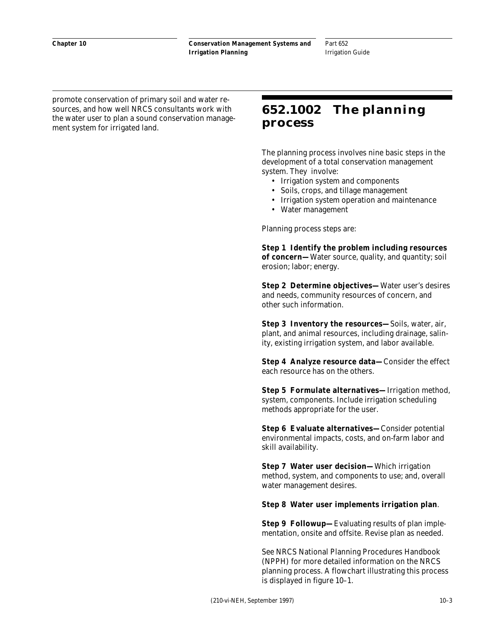Part 652 Irrigation Guide

promote conservation of primary soil and water resources, and how well NRCS consultants work with the water user to plan a sound conservation management system for irrigated land.

# **652.1002 The planning process**

The planning process involves nine basic steps in the development of a total conservation management system. They involve:

- Irrigation system and components
- Soils, crops, and tillage management
- Irrigation system operation and maintenance
- Water management

Planning process steps are:

**Step 1 Identify the problem including resources of concern—**Water source, quality, and quantity; soil erosion; labor; energy.

**Step 2 Determine objectives—**Water user's desires and needs, community resources of concern, and other such information.

**Step 3 Inventory the resources—**Soils, water, air, plant, and animal resources, including drainage, salinity, existing irrigation system, and labor available.

**Step 4 Analyze resource data—**Consider the effect each resource has on the others.

**Step 5 Formulate alternatives—**Irrigation method, system, components. Include irrigation scheduling methods appropriate for the user.

**Step 6 Evaluate alternatives—**Consider potential environmental impacts, costs, and on-farm labor and skill availability.

**Step 7 Water user decision—**Which irrigation method, system, and components to use; and, overall water management desires.

#### **Step 8 Water user implements irrigation plan**.

**Step 9 Followup—**Evaluating results of plan implementation, onsite and offsite. Revise plan as needed.

See NRCS National Planning Procedures Handbook (NPPH) for more detailed information on the NRCS planning process. A flowchart illustrating this process is displayed in figure 10–1.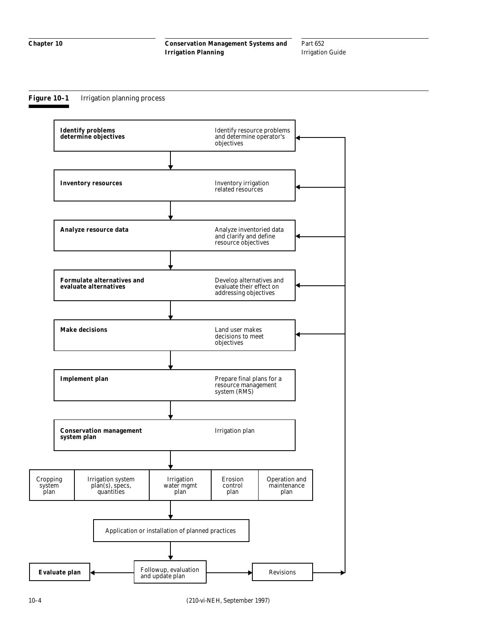#### **Figure 10–1** Irrigation planning process

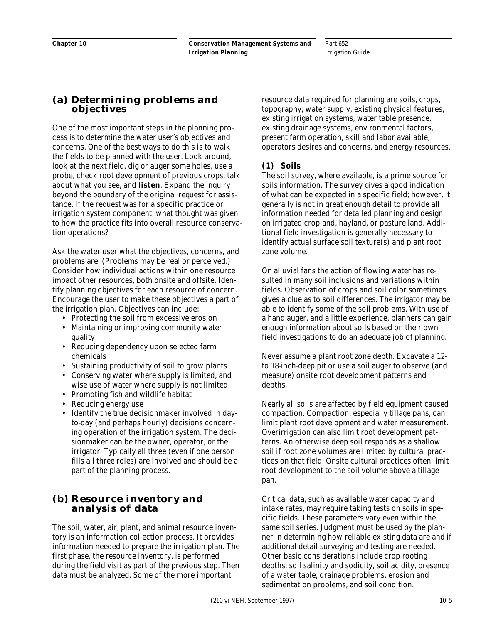### **(a) Determining problems and objectives**

One of the most important steps in the planning process is to determine the water user's objectives and concerns. One of the best ways to do this is to walk the fields to be planned with the user. Look around, look at the next field, dig or auger some holes, use a probe, check root development of previous crops, talk about what you see, and **listen**. Expand the inquiry beyond the boundary of the original request for assistance. If the request was for a specific practice or irrigation system component, what thought was given to how the practice fits into overall resource conservation operations?

Ask the water user what the objectives, concerns, and problems are. (Problems may be real or perceived.) Consider how individual actions within one resource impact other resources, both onsite and offsite. Identify planning objectives for each resource of concern. Encourage the user to make these objectives a part of the irrigation plan. Objectives can include:

- Protecting the soil from excessive erosion
- Maintaining or improving community water quality
- Reducing dependency upon selected farm chemicals
- Sustaining productivity of soil to grow plants
- Conserving water where supply is limited, and wise use of water where supply is not limited
- Promoting fish and wildlife habitat
- Reducing energy use
- Identify the true decisionmaker involved in dayto-day (and perhaps hourly) decisions concerning operation of the irrigation system. The decisionmaker can be the owner, operator, or the irrigator. Typically all three (even if one person fills all three roles) are involved and should be a part of the planning process.

### **(b) Resource inventory and analysis of data**

The soil, water, air, plant, and animal resource inventory is an information collection process. It provides information needed to prepare the irrigation plan. The first phase, the resource inventory, is performed during the field visit as part of the previous step. Then data must be analyzed. Some of the more important

resource data required for planning are soils, crops, topography, water supply, existing physical features, existing irrigation systems, water table presence, existing drainage systems, environmental factors, present farm operation, skill and labor available, operators desires and concerns, and energy resources.

#### **(1) Soils**

The soil survey, where available, is a prime source for soils information. The survey gives a good indication of what can be expected in a specific field; however, it generally is not in great enough detail to provide all information needed for detailed planning and design on irrigated cropland, hayland, or pasture land. Additional field investigation is generally necessary to identify actual surface soil texture(s) and plant root zone volume.

On alluvial fans the action of flowing water has resulted in many soil inclusions and variations within fields. Observation of crops and soil color sometimes gives a clue as to soil differences. The irrigator may be able to identify some of the soil problems. With use of a hand auger, and a little experience, planners can gain enough information about soils based on their own field investigations to do an adequate job of planning.

Never assume a plant root zone depth. Excavate a 12 to 18-inch-deep pit or use a soil auger to observe (and measure) onsite root development patterns and depths.

Nearly all soils are affected by field equipment caused compaction. Compaction, especially tillage pans, can limit plant root development and water measurement. Overirrigation can also limit root development patterns. An otherwise deep soil responds as a shallow soil if root zone volumes are limited by cultural practices on that field. Onsite cultural practices often limit root development to the soil volume above a tillage pan.

Critical data, such as available water capacity and intake rates, may require taking tests on soils in specific fields. These parameters vary even within the same soil series. Judgment must be used by the planner in determining how reliable existing data are and if additional detail surveying and testing are needed. Other basic considerations include crop rooting depths, soil salinity and sodicity, soil acidity, presence of a water table, drainage problems, erosion and sedimentation problems, and soil condition.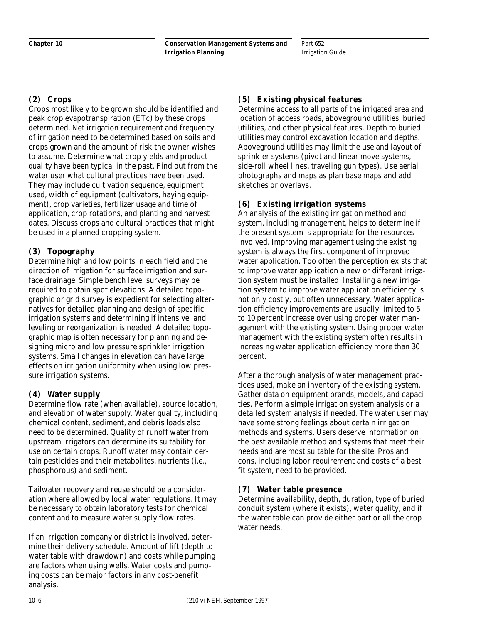Part 652 Irrigation Guide

### **(2) Crops**

Crops most likely to be grown should be identified and peak crop evapotranspiration (ETc) by these crops determined. Net irrigation requirement and frequency of irrigation need to be determined based on soils and crops grown and the amount of risk the owner wishes to assume. Determine what crop yields and product quality have been typical in the past. Find out from the water user what cultural practices have been used. They may include cultivation sequence, equipment used, width of equipment (cultivators, haying equipment), crop varieties, fertilizer usage and time of application, crop rotations, and planting and harvest dates. Discuss crops and cultural practices that might be used in a planned cropping system.

#### **(3) Topography**

Determine high and low points in each field and the direction of irrigation for surface irrigation and surface drainage. Simple bench level surveys may be required to obtain spot elevations. A detailed topographic or grid survey is expedient for selecting alternatives for detailed planning and design of specific irrigation systems and determining if intensive land leveling or reorganization is needed. A detailed topographic map is often necessary for planning and designing micro and low pressure sprinkler irrigation systems. Small changes in elevation can have large effects on irrigation uniformity when using low pressure irrigation systems.

### **(4) Water supply**

Determine flow rate (when available), source location, and elevation of water supply. Water quality, including chemical content, sediment, and debris loads also need to be determined. Quality of runoff water from upstream irrigators can determine its suitability for use on certain crops. Runoff water may contain certain pesticides and their metabolites, nutrients (i.e., phosphorous) and sediment.

Tailwater recovery and reuse should be a consideration where allowed by local water regulations. It may be necessary to obtain laboratory tests for chemical content and to measure water supply flow rates.

If an irrigation company or district is involved, determine their delivery schedule. Amount of lift (depth to water table with drawdown) and costs while pumping are factors when using wells. Water costs and pumping costs can be major factors in any cost-benefit analysis.

### **(5) Existing physical features**

Determine access to all parts of the irrigated area and location of access roads, aboveground utilities, buried utilities, and other physical features. Depth to buried utilities may control excavation location and depths. Aboveground utilities may limit the use and layout of sprinkler systems (pivot and linear move systems, side-roll wheel lines, traveling gun types). Use aerial photographs and maps as plan base maps and add sketches or overlays.

### **(6) Existing irrigation systems**

An analysis of the existing irrigation method and system, including management, helps to determine if the present system is appropriate for the resources involved. Improving management using the existing system is always the first component of improved water application. Too often the perception exists that to improve water application a new or different irrigation system must be installed. Installing a new irrigation system to improve water application efficiency is not only costly, but often unnecessary. Water application efficiency improvements are usually limited to 5 to 10 percent increase over using proper water management with the existing system. Using proper water management with the existing system often results in increasing water application efficiency more than 30 percent.

After a thorough analysis of water management practices used, make an inventory of the existing system. Gather data on equipment brands, models, and capacities. Perform a simple irrigation system analysis or a detailed system analysis if needed. The water user may have some strong feelings about certain irrigation methods and systems. Users deserve information on the best available method and systems that meet their needs and are most suitable for the site. Pros and cons, including labor requirement and costs of a best fit system, need to be provided.

#### **(7) Water table presence**

Determine availability, depth, duration, type of buried conduit system (where it exists), water quality, and if the water table can provide either part or all the crop water needs.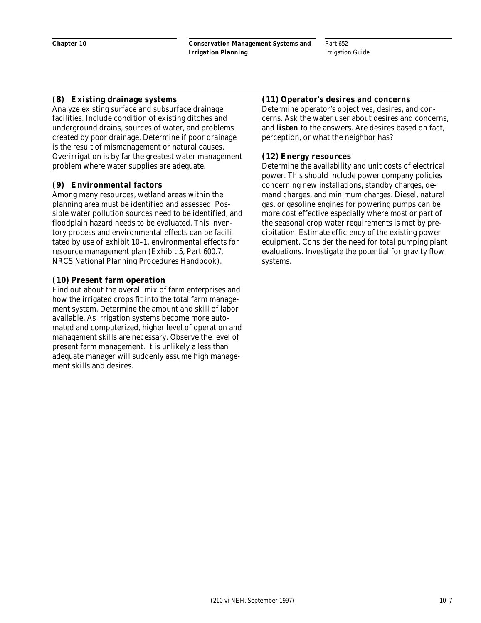#### **(8) Existing drainage systems**

Analyze existing surface and subsurface drainage facilities. Include condition of existing ditches and underground drains, sources of water, and problems created by poor drainage. Determine if poor drainage is the result of mismanagement or natural causes. Overirrigation is by far the greatest water management problem where water supplies are adequate.

#### **(9) Environmental factors**

Among many resources, wetland areas within the planning area must be identified and assessed. Possible water pollution sources need to be identified, and floodplain hazard needs to be evaluated. This inventory process and environmental effects can be facilitated by use of exhibit 10–1, environmental effects for resource management plan (Exhibit 5, Part 600.7, NRCS National Planning Procedures Handbook).

#### **(10)Present farm operation**

Find out about the overall mix of farm enterprises and how the irrigated crops fit into the total farm management system. Determine the amount and skill of labor available. As irrigation systems become more automated and computerized, higher level of operation and management skills are necessary. Observe the level of present farm management. It is unlikely a less than adequate manager will suddenly assume high management skills and desires.

#### **(11)Operator's desires and concerns**

Determine operator's objectives, desires, and concerns. Ask the water user about desires and concerns, and **listen** to the answers. Are desires based on fact, perception, or what the neighbor has?

#### **(12)Energy resources**

Determine the availability and unit costs of electrical power. This should include power company policies concerning new installations, standby charges, demand charges, and minimum charges. Diesel, natural gas, or gasoline engines for powering pumps can be more cost effective especially where most or part of the seasonal crop water requirements is met by precipitation. Estimate efficiency of the existing power equipment. Consider the need for total pumping plant evaluations. Investigate the potential for gravity flow systems.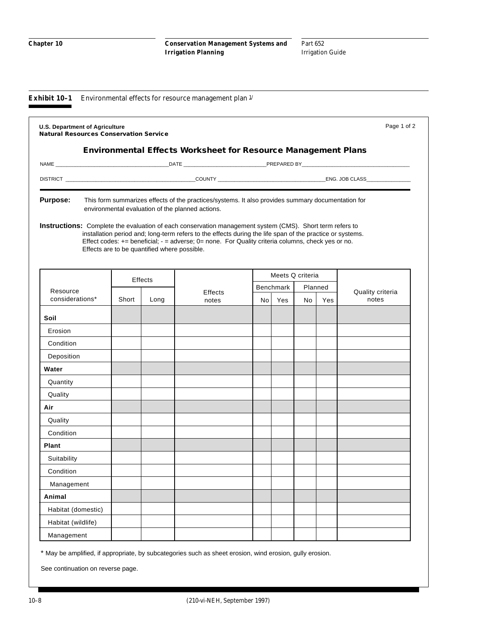**Exhibit 10-1** Environmental effects for resource management plan  $\frac{1}{2}$ 

| <b>U.S. Department of Agriculture</b><br><b>Natural Resources Conservation Service</b> |       |                                              |                                                                                                                                                                                                                                                                                                                            |                  |         |     | Page 1 of 2      |
|----------------------------------------------------------------------------------------|-------|----------------------------------------------|----------------------------------------------------------------------------------------------------------------------------------------------------------------------------------------------------------------------------------------------------------------------------------------------------------------------------|------------------|---------|-----|------------------|
|                                                                                        |       |                                              | <b>Environmental Effects Worksheet for Resource Management Plans</b>                                                                                                                                                                                                                                                       |                  |         |     |                  |
|                                                                                        |       |                                              |                                                                                                                                                                                                                                                                                                                            |                  |         |     |                  |
|                                                                                        |       |                                              |                                                                                                                                                                                                                                                                                                                            |                  |         |     |                  |
| <b>Purpose:</b>                                                                        |       |                                              | This form summarizes effects of the practices/systems. It also provides summary documentation for<br>environmental evaluation of the planned actions.                                                                                                                                                                      |                  |         |     |                  |
|                                                                                        |       | Effects are to be quantified where possible. | Instructions: Complete the evaluation of each conservation management system (CMS). Short term refers to<br>installation period and; long-term refers to the effects during the life span of the practice or systems.<br>Effect codes: += beneficial; - = adverse; 0= none. For Quality criteria columns, check yes or no. |                  |         |     |                  |
|                                                                                        |       | Effects                                      |                                                                                                                                                                                                                                                                                                                            | Meets Q criteria |         |     |                  |
| Resource                                                                               |       |                                              | <b>Effects</b>                                                                                                                                                                                                                                                                                                             | Benchmark        | Planned |     | Quality criteria |
| considerations*                                                                        | Short | Long                                         | notes                                                                                                                                                                                                                                                                                                                      | Nol Yes          | No      | Yes | notes            |
| Soil                                                                                   |       |                                              |                                                                                                                                                                                                                                                                                                                            |                  |         |     |                  |
| Erosion                                                                                |       |                                              |                                                                                                                                                                                                                                                                                                                            |                  |         |     |                  |
| Condition                                                                              |       |                                              |                                                                                                                                                                                                                                                                                                                            |                  |         |     |                  |
| Deposition                                                                             |       |                                              |                                                                                                                                                                                                                                                                                                                            |                  |         |     |                  |
| Water                                                                                  |       |                                              |                                                                                                                                                                                                                                                                                                                            |                  |         |     |                  |
| Quantity                                                                               |       |                                              |                                                                                                                                                                                                                                                                                                                            |                  |         |     |                  |
| Quality                                                                                |       |                                              |                                                                                                                                                                                                                                                                                                                            |                  |         |     |                  |
| Air                                                                                    |       |                                              |                                                                                                                                                                                                                                                                                                                            |                  |         |     |                  |
| Quality                                                                                |       |                                              |                                                                                                                                                                                                                                                                                                                            |                  |         |     |                  |
| Condition                                                                              |       |                                              |                                                                                                                                                                                                                                                                                                                            |                  |         |     |                  |
| <b>Plant</b>                                                                           |       |                                              |                                                                                                                                                                                                                                                                                                                            |                  |         |     |                  |
| Suitability                                                                            |       |                                              |                                                                                                                                                                                                                                                                                                                            |                  |         |     |                  |
| Condition                                                                              |       |                                              |                                                                                                                                                                                                                                                                                                                            |                  |         |     |                  |
| Management                                                                             |       |                                              |                                                                                                                                                                                                                                                                                                                            |                  |         |     |                  |
| Animal                                                                                 |       |                                              |                                                                                                                                                                                                                                                                                                                            |                  |         |     |                  |
| Habitat (domestic)                                                                     |       |                                              |                                                                                                                                                                                                                                                                                                                            |                  |         |     |                  |
| Habitat (wildlife)                                                                     |       |                                              |                                                                                                                                                                                                                                                                                                                            |                  |         |     |                  |
| Management                                                                             |       |                                              |                                                                                                                                                                                                                                                                                                                            |                  |         |     |                  |

\* May be amplified, if appropriate, by subcategories such as sheet erosion, wind erosion, gully erosion.

See continuation on reverse page.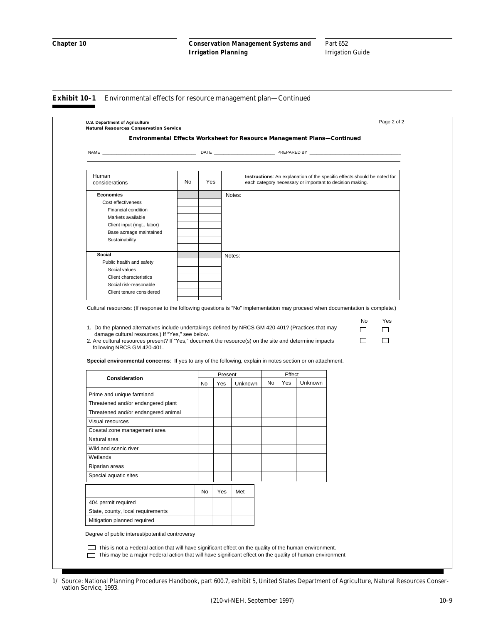#### **Exhibit 10–1** Environmental effects for resource management plan—Continued

| Human<br>considerations                                                                                                                                                                                                                                                                                                                                                                                                                                                                                                                                                                                                                                                                                                                              | No | Yes     |         |           |        | Instructions: An explanation of the specific effects should be noted for<br>each category necessary or important to decision making. |                   |                          |
|------------------------------------------------------------------------------------------------------------------------------------------------------------------------------------------------------------------------------------------------------------------------------------------------------------------------------------------------------------------------------------------------------------------------------------------------------------------------------------------------------------------------------------------------------------------------------------------------------------------------------------------------------------------------------------------------------------------------------------------------------|----|---------|---------|-----------|--------|--------------------------------------------------------------------------------------------------------------------------------------|-------------------|--------------------------|
| <b>Economics</b>                                                                                                                                                                                                                                                                                                                                                                                                                                                                                                                                                                                                                                                                                                                                     |    |         | Notes:  |           |        |                                                                                                                                      |                   |                          |
| Cost effectiveness                                                                                                                                                                                                                                                                                                                                                                                                                                                                                                                                                                                                                                                                                                                                   |    |         |         |           |        |                                                                                                                                      |                   |                          |
| Financial condition                                                                                                                                                                                                                                                                                                                                                                                                                                                                                                                                                                                                                                                                                                                                  |    |         |         |           |        |                                                                                                                                      |                   |                          |
| Markets available                                                                                                                                                                                                                                                                                                                                                                                                                                                                                                                                                                                                                                                                                                                                    |    |         |         |           |        |                                                                                                                                      |                   |                          |
| Client input (mgt., labor)                                                                                                                                                                                                                                                                                                                                                                                                                                                                                                                                                                                                                                                                                                                           |    |         |         |           |        |                                                                                                                                      |                   |                          |
| Base acreage maintained                                                                                                                                                                                                                                                                                                                                                                                                                                                                                                                                                                                                                                                                                                                              |    |         |         |           |        |                                                                                                                                      |                   |                          |
| Sustainability                                                                                                                                                                                                                                                                                                                                                                                                                                                                                                                                                                                                                                                                                                                                       |    |         |         |           |        |                                                                                                                                      |                   |                          |
| Social                                                                                                                                                                                                                                                                                                                                                                                                                                                                                                                                                                                                                                                                                                                                               |    |         | Notes:  |           |        |                                                                                                                                      |                   |                          |
| Public health and safety                                                                                                                                                                                                                                                                                                                                                                                                                                                                                                                                                                                                                                                                                                                             |    |         |         |           |        |                                                                                                                                      |                   |                          |
| Social values                                                                                                                                                                                                                                                                                                                                                                                                                                                                                                                                                                                                                                                                                                                                        |    |         |         |           |        |                                                                                                                                      |                   |                          |
| Client characteristics                                                                                                                                                                                                                                                                                                                                                                                                                                                                                                                                                                                                                                                                                                                               |    |         |         |           |        |                                                                                                                                      |                   |                          |
| Social risk-reasonable                                                                                                                                                                                                                                                                                                                                                                                                                                                                                                                                                                                                                                                                                                                               |    |         |         |           |        |                                                                                                                                      |                   |                          |
| Client tenure considered                                                                                                                                                                                                                                                                                                                                                                                                                                                                                                                                                                                                                                                                                                                             |    |         |         |           |        |                                                                                                                                      |                   |                          |
| damage cultural resources.) If "Yes," see below.<br>following NRCS GM 420-401.                                                                                                                                                                                                                                                                                                                                                                                                                                                                                                                                                                                                                                                                       |    |         |         |           |        |                                                                                                                                      | No<br>$\Box$<br>П | Yes<br>ப<br>$\mathbf{L}$ |
|                                                                                                                                                                                                                                                                                                                                                                                                                                                                                                                                                                                                                                                                                                                                                      |    | Present |         |           | Effect |                                                                                                                                      |                   |                          |
| Consideration                                                                                                                                                                                                                                                                                                                                                                                                                                                                                                                                                                                                                                                                                                                                        | No | Yes     | Unknown | <b>No</b> | Yes    | Unknown                                                                                                                              |                   |                          |
|                                                                                                                                                                                                                                                                                                                                                                                                                                                                                                                                                                                                                                                                                                                                                      |    |         |         |           |        |                                                                                                                                      |                   |                          |
|                                                                                                                                                                                                                                                                                                                                                                                                                                                                                                                                                                                                                                                                                                                                                      |    |         |         |           |        |                                                                                                                                      |                   |                          |
|                                                                                                                                                                                                                                                                                                                                                                                                                                                                                                                                                                                                                                                                                                                                                      |    |         |         |           |        |                                                                                                                                      |                   |                          |
|                                                                                                                                                                                                                                                                                                                                                                                                                                                                                                                                                                                                                                                                                                                                                      |    |         |         |           |        |                                                                                                                                      |                   |                          |
|                                                                                                                                                                                                                                                                                                                                                                                                                                                                                                                                                                                                                                                                                                                                                      |    |         |         |           |        |                                                                                                                                      |                   |                          |
|                                                                                                                                                                                                                                                                                                                                                                                                                                                                                                                                                                                                                                                                                                                                                      |    |         |         |           |        |                                                                                                                                      |                   |                          |
|                                                                                                                                                                                                                                                                                                                                                                                                                                                                                                                                                                                                                                                                                                                                                      |    |         |         |           |        |                                                                                                                                      |                   |                          |
|                                                                                                                                                                                                                                                                                                                                                                                                                                                                                                                                                                                                                                                                                                                                                      |    |         |         |           |        |                                                                                                                                      |                   |                          |
|                                                                                                                                                                                                                                                                                                                                                                                                                                                                                                                                                                                                                                                                                                                                                      |    |         |         |           |        |                                                                                                                                      |                   |                          |
|                                                                                                                                                                                                                                                                                                                                                                                                                                                                                                                                                                                                                                                                                                                                                      |    |         |         |           |        |                                                                                                                                      |                   |                          |
|                                                                                                                                                                                                                                                                                                                                                                                                                                                                                                                                                                                                                                                                                                                                                      |    |         |         |           |        |                                                                                                                                      |                   |                          |
|                                                                                                                                                                                                                                                                                                                                                                                                                                                                                                                                                                                                                                                                                                                                                      | No | Yes     | Met     |           |        |                                                                                                                                      |                   |                          |
| Cultural resources: (If response to the following questions is "No" implementation may proceed when documentation is complete.)<br>1. Do the planned alternatives include undertakings defined by NRCS GM 420-401? (Practices that may<br>2. Are cultural resources present? If "Yes," document the resource(s) on the site and determine impacts<br>Special environmental concerns: If yes to any of the following, explain in notes section or on attachment.<br>Prime and unique farmland<br>Threatened and/or endangered plant<br>Threatened and/or endangered animal<br>Visual resources<br>Coastal zone management area<br>Natural area<br>Wild and scenic river<br>Wetlands<br>Riparian areas<br>Special aquatic sites<br>404 permit required |    |         |         |           |        |                                                                                                                                      |                   |                          |
| State, county, local requirements<br>Mitigation planned required                                                                                                                                                                                                                                                                                                                                                                                                                                                                                                                                                                                                                                                                                     |    |         |         |           |        |                                                                                                                                      |                   |                          |

<sup>1/</sup> Source: National Planning Procedures Handbook, part 600.7, exhibit 5, United States Department of Agriculture, Natural Resources Conservation Service, 1993.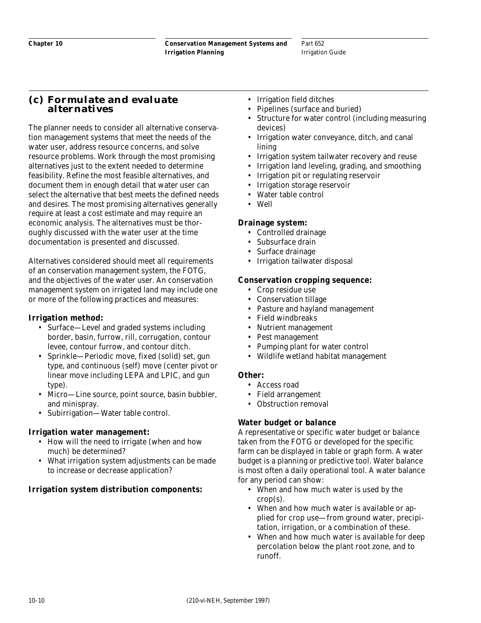# **(c) Formulate and evaluate alternatives**

The planner needs to consider all alternative conservation management systems that meet the needs of the water user, address resource concerns, and solve resource problems. Work through the most promising alternatives just to the extent needed to determine feasibility. Refine the most feasible alternatives, and document them in enough detail that water user can select the alternative that best meets the defined needs and desires. The most promising alternatives generally require at least a cost estimate and may require an economic analysis. The alternatives must be thoroughly discussed with the water user at the time documentation is presented and discussed.

Alternatives considered should meet all requirements of an conservation management system, the FOTG, and the objectives of the water user. An conservation management system on irrigated land may include one or more of the following practices and measures:

### **Irrigation method:**

- Surface—Level and graded systems including border, basin, furrow, rill, corrugation, contour levee, contour furrow, and contour ditch.
- Sprinkle—Periodic move, fixed (solid) set, gun type, and continuous (self) move (center pivot or linear move including LEPA and LPIC, and gun type).
- Micro—Line source, point source, basin bubbler, and minispray.
- Subirrigation—Water table control.

#### **Irrigation water management:**

- How will the need to irrigate (when and how much) be determined?
- What irrigation system adjustments can be made to increase or decrease application?

# **Irrigation system distribution components:**

- Irrigation field ditches
- Pipelines (surface and buried)
- Structure for water control (including measuring devices)
- Irrigation water conveyance, ditch, and canal lining
- Irrigation system tailwater recovery and reuse
- Irrigation land leveling, grading, and smoothing
- Irrigation pit or regulating reservoir
- Irrigation storage reservoir
- Water table control
- Well

#### **Drainage system:**

- Controlled drainage
- Subsurface drain
- Surface drainage
- Irrigation tailwater disposal

#### **Conservation cropping sequence:**

- Crop residue use
- Conservation tillage
- Pasture and hayland management
- Field windbreaks
- Nutrient management
- Pest management
- Pumping plant for water control
- Wildlife wetland habitat management

#### **Other:**

- Access road
- Field arrangement
- Obstruction removal

#### **Water budget or balance**

A representative or specific water budget or balance taken from the FOTG or developed for the specific farm can be displayed in table or graph form. A water budget is a planning or predictive tool. Water balance is most often a daily operational tool. A water balance for any period can show:

- When and how much water is used by the  $crop(s)$ .
- When and how much water is available or applied for crop use—from ground water, precipitation, irrigation, or a combination of these.
- When and how much water is available for deep percolation below the plant root zone, and to runoff.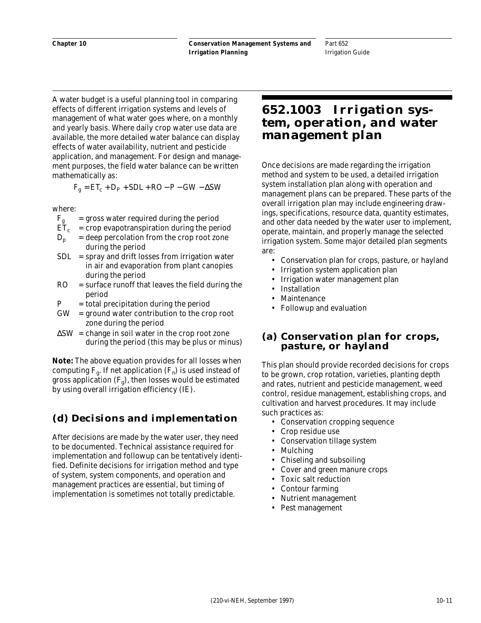**Chapter 10**

Part 652 Irrigation Guide

A water budget is a useful planning tool in comparing effects of different irrigation systems and levels of management of what water goes where, on a monthly and yearly basis. Where daily crop water use data are available, the more detailed water balance can display effects of water availability, nutrient and pesticide application, and management. For design and management purposes, the field water balance can be written mathematically as:

$$
F_g = ET_c + D_P + SDL + RO - P - GW - \Delta SW
$$

where:

- $F_g$  = gross water required during the period<br>ET<sub>c</sub> = crop evapotranspiration during the per
- $=$  crop evapotranspiration during the period
- $D_p$  = deep percolation from the crop root zone during the period
- $SDL$  = spray and drift losses from irrigation water in air and evaporation from plant canopies during the period
- RO = surface runoff that leaves the field during the period
- $P = total \text{ precipitation during the period}$
- $GW =$  ground water contribution to the crop root zone during the period
- $\Delta$ SW = change in soil water in the crop root zone during the period (this may be plus or minus)

**Note:** The above equation provides for all losses when computing  $F_g$ . If net application  $(F_n)$  is used instead of gross application  $(F_g)$ , then losses would be estimated by using overall irrigation efficiency (IE).

# **(d) Decisions and implementation**

After decisions are made by the water user, they need to be documented. Technical assistance required for implementation and followup can be tentatively identified. Definite decisions for irrigation method and type of system, system components, and operation and management practices are essential, but timing of implementation is sometimes not totally predictable.

# **652.1003 Irrigation system, operation, and water management plan**

Once decisions are made regarding the irrigation method and system to be used, a detailed irrigation system installation plan along with operation and management plans can be prepared. These parts of the overall irrigation plan may include engineering drawings, specifications, resource data, quantity estimates, and other data needed by the water user to implement, operate, maintain, and properly manage the selected irrigation system. Some major detailed plan segments are:

- Conservation plan for crops, pasture, or hayland
- Irrigation system application plan
- Irrigation water management plan
- Installation
- **Maintenance**
- Followup and evaluation

### **(a) Conservation plan for crops, pasture, or hayland**

This plan should provide recorded decisions for crops to be grown, crop rotation, varieties, planting depth and rates, nutrient and pesticide management, weed control, residue management, establishing crops, and cultivation and harvest procedures. It may include such practices as:

- Conservation cropping sequence
- Crop residue use
- Conservation tillage system
- Mulching
- Chiseling and subsoiling
- Cover and green manure crops
- Toxic salt reduction
- Contour farming
- Nutrient management
- Pest management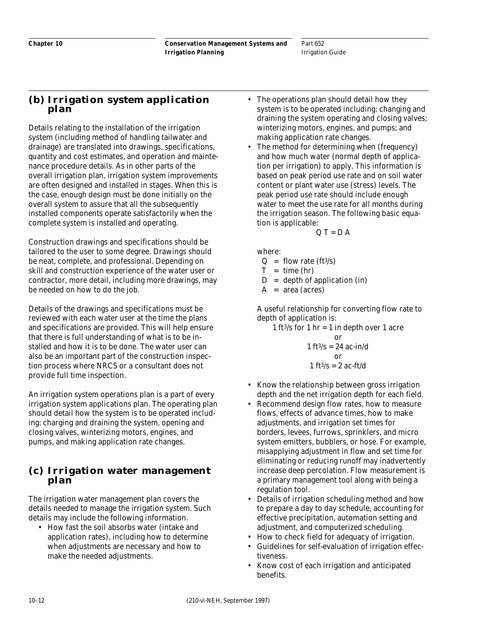## **(b) Irrigation system application plan**

Details relating to the installation of the irrigation system (including method of handling tailwater and drainage) are translated into drawings, specifications, quantity and cost estimates, and operation and maintenance procedure details. As in other parts of the overall irrigation plan, irrigation system improvements are often designed and installed in stages. When this is the case, enough design must be done initially on the overall system to assure that all the subsequently installed components operate satisfactorily when the complete system is installed and operating.

Construction drawings and specifications should be tailored to the user to some degree. Drawings should be neat, complete, and professional. Depending on skill and construction experience of the water user or contractor, more detail, including more drawings, may be needed on how to do the job.

Details of the drawings and specifications must be reviewed with each water user at the time the plans and specifications are provided. This will help ensure that there is full understanding of what is to be installed and how it is to be done. The water user can also be an important part of the construction inspection process where NRCS or a consultant does not provide full time inspection.

An irrigation system operations plan is a part of every irrigation system applications plan. The operating plan should detail how the system is to be operated including: charging and draining the system, opening and closing valves, winterizing motors, engines, and pumps, and making application rate changes.

## **(c) Irrigation water management plan**

The irrigation water management plan covers the details needed to manage the irrigation system. Such details may include the following information.

• How fast the soil absorbs water (intake and application rates), including how to determine when adjustments are necessary and how to make the needed adjustments.

- The operations plan should detail how they system is to be operated including: changing and draining the system operating and closing valves; winterizing motors, engines, and pumps; and making application rate changes.
- The method for determining when (frequency) and how much water (normal depth of application per irrigation) to apply. This information is based on peak period use rate and on soil water content or plant water use (stress) levels. The peak period use rate should include enough water to meet the use rate for all months during the irrigation season. The following basic equation is applicable:

$$
Q T = D A
$$

where:

$$
Q = flow rate (ft3/s)
$$

$$
T = \text{time (hr)}
$$

$$
D = depth of application (in)
$$

 $A = \text{area} (\text{acres})$ 

A useful relationship for converting flow rate to depth of application is:

1 ft<sup>3</sup>/s for 1 hr = 1 in depth over 1 acre

or  
\n
$$
1 ft^{3}/s = 24 ac-in/d
$$
\nor  
\n
$$
1 ft^{3}/s = 2 ac-ft/d
$$

- Know the relationship between gross irrigation depth and the net irrigation depth for each field.
- Recommend design flow rates, how to measure flows, effects of advance times, how to make adjustments, and irrigation set times for borders, levees, furrows, sprinklers, and micro system emitters, bubblers, or hose. For example, misapplying adjustment in flow and set time for eliminating or reducing runoff may inadvertently increase deep percolation. Flow measurement is a primary management tool along with being a regulation tool.
- Details of irrigation scheduling method and how to prepare a day to day schedule, accounting for effective precipitation, automation setting and adjustment, and computerized scheduling.
- How to check field for adequacy of irrigation.
- Guidelines for self-evaluation of irrigation effectiveness.
- Know cost of each irrigation and anticipated benefits.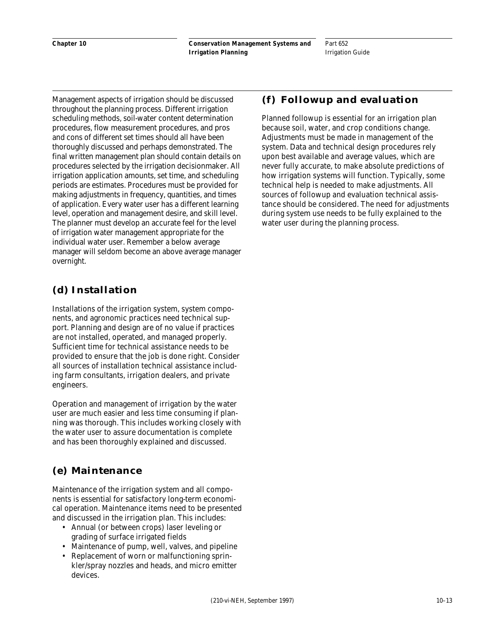Part 652 Irrigation Guide

Management aspects of irrigation should be discussed throughout the planning process. Different irrigation scheduling methods, soil-water content determination procedures, flow measurement procedures, and pros and cons of different set times should all have been thoroughly discussed and perhaps demonstrated. The final written management plan should contain details on procedures selected by the irrigation decisionmaker. All irrigation application amounts, set time, and scheduling periods are estimates. Procedures must be provided for making adjustments in frequency, quantities, and times of application. Every water user has a different learning level, operation and management desire, and skill level. The planner must develop an accurate feel for the level of irrigation water management appropriate for the individual water user. Remember a below average manager will seldom become an above average manager overnight.

# **(d) Installation**

Installations of the irrigation system, system components, and agronomic practices need technical support. Planning and design are of no value if practices are not installed, operated, and managed properly. Sufficient time for technical assistance needs to be provided to ensure that the job is done right. Consider all sources of installation technical assistance including farm consultants, irrigation dealers, and private engineers.

Operation and management of irrigation by the water user are much easier and less time consuming if planning was thorough. This includes working closely with the water user to assure documentation is complete and has been thoroughly explained and discussed.

# **(e) Maintenance**

Maintenance of the irrigation system and all components is essential for satisfactory long-term economical operation. Maintenance items need to be presented and discussed in the irrigation plan. This includes:

- Annual (or between crops) laser leveling or grading of surface irrigated fields
- Maintenance of pump, well, valves, and pipeline
- Replacement of worn or malfunctioning sprinkler/spray nozzles and heads, and micro emitter devices.

# **(f) Followup and evaluation**

Planned followup is essential for an irrigation plan because soil, water, and crop conditions change. Adjustments must be made in management of the system. Data and technical design procedures rely upon best available and average values, which are never fully accurate, to make absolute predictions of how irrigation systems will function. Typically, some technical help is needed to make adjustments. All sources of followup and evaluation technical assistance should be considered. The need for adjustments during system use needs to be fully explained to the water user during the planning process.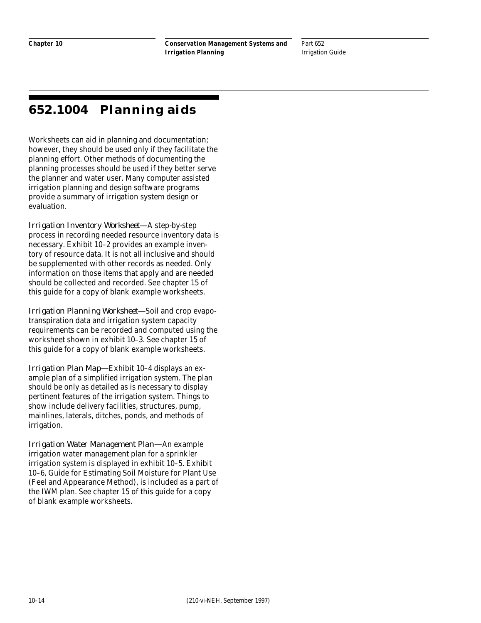# **652.1004 Planning aids**

Worksheets can aid in planning and documentation; however, they should be used only if they facilitate the planning effort. Other methods of documenting the planning processes should be used if they better serve the planner and water user. Many computer assisted irrigation planning and design software programs provide a summary of irrigation system design or evaluation.

*Irrigation Inventory Worksheet—*A step-by-step process in recording needed resource inventory data is necessary. Exhibit 10–2 provides an example inventory of resource data. It is not all inclusive and should be supplemented with other records as needed. Only information on those items that apply and are needed should be collected and recorded. See chapter 15 of this guide for a copy of blank example worksheets.

*Irrigation Planning Worksheet—*Soil and crop evapotranspiration data and irrigation system capacity requirements can be recorded and computed using the worksheet shown in exhibit 10–3. See chapter 15 of this guide for a copy of blank example worksheets.

*Irrigation Plan Map—*Exhibit 10–4 displays an example plan of a simplified irrigation system. The plan should be only as detailed as is necessary to display pertinent features of the irrigation system. Things to show include delivery facilities, structures, pump, mainlines, laterals, ditches, ponds, and methods of irrigation.

*Irrigation Water Management Plan—*An example irrigation water management plan for a sprinkler irrigation system is displayed in exhibit 10–5. Exhibit 10–6, Guide for Estimating Soil Moisture for Plant Use (Feel and Appearance Method), is included as a part of the IWM plan. See chapter 15 of this guide for a copy of blank example worksheets.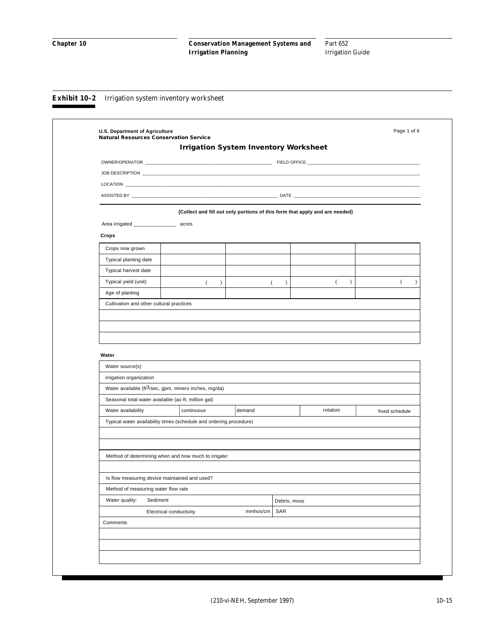|                                                                                                                                                                                                                                     |                                               | <b>Irrigation System Inventory Worksheet</b>                                |                  |                  |              |          |                  |                |                |
|-------------------------------------------------------------------------------------------------------------------------------------------------------------------------------------------------------------------------------------|-----------------------------------------------|-----------------------------------------------------------------------------|------------------|------------------|--------------|----------|------------------|----------------|----------------|
|                                                                                                                                                                                                                                     |                                               |                                                                             |                  |                  |              |          |                  |                |                |
| JOB DESCRIPTION <b>Example 20</b> Second 20 Second 20 Second 20 Second 20 Second 20 Second 20 Second 20 Second 20 Second 20 Second 20 Second 20 Second 20 Second 20 Second 20 Second 20 Second 20 Second 20 Second 20 Second 20 Sec |                                               |                                                                             |                  |                  |              |          |                  |                |                |
|                                                                                                                                                                                                                                     |                                               |                                                                             |                  |                  |              |          |                  |                |                |
|                                                                                                                                                                                                                                     |                                               |                                                                             |                  |                  |              |          |                  |                |                |
|                                                                                                                                                                                                                                     |                                               | (Collect and fill out only portions of this form that apply and are needed) |                  |                  |              |          |                  |                |                |
|                                                                                                                                                                                                                                     |                                               |                                                                             |                  |                  |              |          |                  |                |                |
| Crops                                                                                                                                                                                                                               |                                               |                                                                             |                  |                  |              |          |                  |                |                |
| Crops now grown                                                                                                                                                                                                                     |                                               |                                                                             |                  |                  |              |          |                  |                |                |
| Typical planting date                                                                                                                                                                                                               |                                               |                                                                             |                  |                  |              |          |                  |                |                |
| Typical harvest date                                                                                                                                                                                                                |                                               |                                                                             |                  |                  |              |          |                  |                |                |
| Typical yield (unit)                                                                                                                                                                                                                |                                               | $\left($                                                                    | $\left( \right)$ | $\overline{(\ }$ | $\lambda$    | $\left($ | $\left( \right)$ |                | $\overline{ }$ |
| Age of planting                                                                                                                                                                                                                     |                                               |                                                                             |                  |                  |              |          |                  |                |                |
|                                                                                                                                                                                                                                     |                                               |                                                                             |                  |                  |              |          |                  |                |                |
| Water source(s)<br>irrigation organization                                                                                                                                                                                          |                                               | Water available (ft3/sec, gpm, miners inches, mg/da)                        |                  |                  |              |          |                  |                |                |
| Water<br>Seasonal total water available (ac-ft, million gal)                                                                                                                                                                        |                                               | continuous                                                                  | demand           |                  |              | rotation |                  |                |                |
| Water availability                                                                                                                                                                                                                  |                                               | Typical water availability times (schedule and ordering procedure)          |                  |                  |              |          |                  | fixed schedule |                |
|                                                                                                                                                                                                                                     |                                               |                                                                             |                  |                  |              |          |                  |                |                |
|                                                                                                                                                                                                                                     |                                               | Method of determining when and how much to irrigate:                        |                  |                  |              |          |                  |                |                |
|                                                                                                                                                                                                                                     | Is flow measuring device maintained and used? |                                                                             |                  |                  |              |          |                  |                |                |
|                                                                                                                                                                                                                                     | Method of measuring water flow rate           |                                                                             |                  |                  |              |          |                  |                |                |
| Water quality:                                                                                                                                                                                                                      | Sediment                                      |                                                                             |                  |                  | Debris, moss |          |                  |                |                |
|                                                                                                                                                                                                                                     | Electrical conductivity                       |                                                                             |                  | mmhos/cm         | SAR          |          |                  |                |                |
| Comments                                                                                                                                                                                                                            |                                               |                                                                             |                  |                  |              |          |                  |                |                |
|                                                                                                                                                                                                                                     |                                               |                                                                             |                  |                  |              |          |                  |                |                |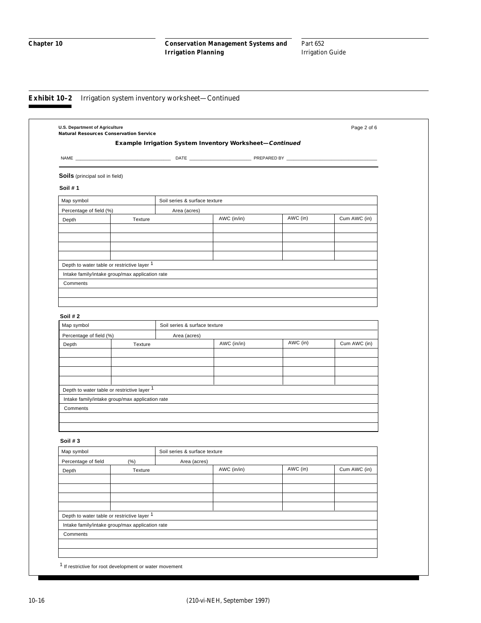| U.S. Department of Agriculture<br><b>Natural Resources Conservation Service</b> |         |                                                         |             |          | Page 2 of 6  |
|---------------------------------------------------------------------------------|---------|---------------------------------------------------------|-------------|----------|--------------|
|                                                                                 |         | Example Irrigation System Inventory Worksheet-Continued |             |          |              |
|                                                                                 |         |                                                         |             |          |              |
|                                                                                 |         |                                                         |             |          |              |
| Soils (principal soil in field)                                                 |         |                                                         |             |          |              |
| Soil #1                                                                         |         |                                                         |             |          |              |
| Map symbol                                                                      |         | Soil series & surface texture                           |             |          |              |
| Percentage of field (%)                                                         |         | Area (acres)                                            |             |          |              |
| Depth                                                                           | Texture |                                                         | AWC (in/in) | AWC (in) | Cum AWC (in) |
|                                                                                 |         |                                                         |             |          |              |
|                                                                                 |         |                                                         |             |          |              |
|                                                                                 |         |                                                         |             |          |              |
|                                                                                 |         |                                                         |             |          |              |
| Depth to water table or restrictive layer 1                                     |         |                                                         |             |          |              |
| Intake family/intake group/max application rate                                 |         |                                                         |             |          |              |
| Comments                                                                        |         |                                                         |             |          |              |
|                                                                                 |         |                                                         |             |          |              |
|                                                                                 |         |                                                         |             |          |              |
| Soil #2                                                                         |         |                                                         |             |          |              |
| Map symbol                                                                      |         | Soil series & surface texture                           |             |          |              |
| Percentage of field (%)                                                         |         | Area (acres)                                            |             |          |              |
| Depth                                                                           | Texture |                                                         | AWC (in/in) | AWC (in) | Cum AWC (in) |
|                                                                                 |         |                                                         |             |          |              |
|                                                                                 |         |                                                         |             |          |              |
|                                                                                 |         |                                                         |             |          |              |
|                                                                                 |         |                                                         |             |          |              |
| Depth to water table or restrictive layer 1                                     |         |                                                         |             |          |              |
| Intake family/intake group/max application rate                                 |         |                                                         |             |          |              |
| Comments                                                                        |         |                                                         |             |          |              |
|                                                                                 |         |                                                         |             |          |              |
|                                                                                 |         |                                                         |             |          |              |
| Soil $#3$                                                                       |         |                                                         |             |          |              |
| Map symbol                                                                      |         | Soil series & surface texture                           |             |          |              |
| Percentage of field                                                             | $(\% )$ | Area (acres)                                            |             |          |              |
| Depth                                                                           | Texture |                                                         | AWC (in/in) | AWC (in) | Cum AWC (in) |
|                                                                                 |         |                                                         |             |          |              |
|                                                                                 |         |                                                         |             |          |              |
|                                                                                 |         |                                                         |             |          |              |
|                                                                                 |         |                                                         |             |          |              |
| Depth to water table or restrictive layer 1                                     |         |                                                         |             |          |              |
| Intake family/intake group/max application rate                                 |         |                                                         |             |          |              |
| Comments                                                                        |         |                                                         |             |          |              |
|                                                                                 |         |                                                         |             |          |              |
|                                                                                 |         |                                                         |             |          |              |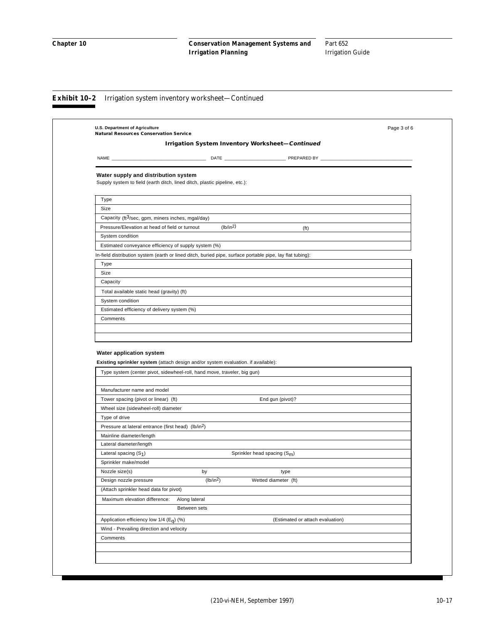|                                                                                                                                                               | <b>Irrigation System Inventory Worksheet-Continued</b> |                       |                                |                                  |  |
|---------------------------------------------------------------------------------------------------------------------------------------------------------------|--------------------------------------------------------|-----------------------|--------------------------------|----------------------------------|--|
|                                                                                                                                                               |                                                        |                       |                                |                                  |  |
| Water supply and distribution system<br>Supply system to field (earth ditch, lined ditch, plastic pipeline, etc.):                                            |                                                        |                       |                                |                                  |  |
| Type                                                                                                                                                          |                                                        |                       |                                |                                  |  |
| Size                                                                                                                                                          |                                                        |                       |                                |                                  |  |
| Capacity (ft <sup>3</sup> /sec, gpm, miners inches, mgal/day)                                                                                                 |                                                        |                       |                                |                                  |  |
| Pressure/Elevation at head of field or turnout                                                                                                                |                                                        | (lb/in2)              |                                | (f <sub>t</sub> )                |  |
| System condition                                                                                                                                              |                                                        |                       |                                |                                  |  |
| Estimated conveyance efficiency of supply system (%)                                                                                                          |                                                        |                       |                                |                                  |  |
| In-field distribution system (earth or lined ditch, buried pipe, surface portable pipe, lay flat tubing):                                                     |                                                        |                       |                                |                                  |  |
| Type                                                                                                                                                          |                                                        |                       |                                |                                  |  |
| Size                                                                                                                                                          |                                                        |                       |                                |                                  |  |
| Capacity                                                                                                                                                      |                                                        |                       |                                |                                  |  |
| Total available static head (gravity) (ft)                                                                                                                    |                                                        |                       |                                |                                  |  |
| System condition                                                                                                                                              |                                                        |                       |                                |                                  |  |
| Estimated efficiency of delivery system (%)                                                                                                                   |                                                        |                       |                                |                                  |  |
|                                                                                                                                                               |                                                        |                       |                                |                                  |  |
| Comments<br><b>Water application system</b>                                                                                                                   |                                                        |                       |                                |                                  |  |
| Existing sprinkler system (attach design and/or system evaluation. if available):<br>Type system (center pivot, sidewheel-roll, hand move, traveler, big gun) |                                                        |                       |                                |                                  |  |
| Manufacturer name and model                                                                                                                                   |                                                        |                       |                                |                                  |  |
| Tower spacing (pivot or linear) (ft)                                                                                                                          |                                                        |                       | End gun (pivot)?               |                                  |  |
| Wheel size (sidewheel-roll) diameter                                                                                                                          |                                                        |                       |                                |                                  |  |
| Type of drive                                                                                                                                                 |                                                        |                       |                                |                                  |  |
| Pressure at lateral entrance (first head) (lb/in <sup>2</sup> )                                                                                               |                                                        |                       |                                |                                  |  |
| Mainline diameter/length                                                                                                                                      |                                                        |                       |                                |                                  |  |
| Lateral diameter/length                                                                                                                                       |                                                        |                       |                                |                                  |  |
| Lateral spacing $(S_1)$                                                                                                                                       |                                                        |                       | Sprinkler head spacing $(S_m)$ |                                  |  |
| Sprinkler make/model                                                                                                                                          |                                                        |                       |                                |                                  |  |
| Nozzle size(s)                                                                                                                                                | by                                                     |                       | type                           |                                  |  |
| Design nozzle pressure                                                                                                                                        |                                                        | (lb/in <sup>2</sup> ) | Wetted diameter (ft)           |                                  |  |
| (Attach sprinkler head data for pivot)                                                                                                                        |                                                        |                       |                                |                                  |  |
| Maximum elevation difference:                                                                                                                                 | Along lateral                                          |                       |                                |                                  |  |
|                                                                                                                                                               | Between sets                                           |                       |                                |                                  |  |
| Application efficiency low $1/4$ (Eq) (%)                                                                                                                     |                                                        |                       |                                | (Estimated or attach evaluation) |  |
| Wind - Prevailing direction and velocity                                                                                                                      |                                                        |                       |                                |                                  |  |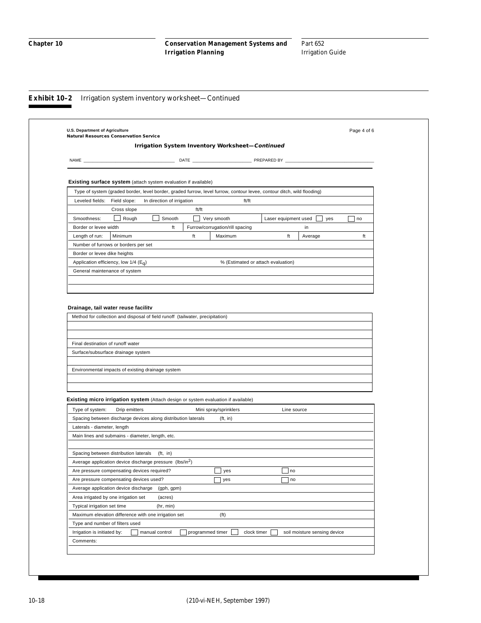|                                                                                                                                                                                                                                                | <b>Natural Resources Conservation Service</b>                                                                          |                  |                                                 |                                    |                              | Page 4 of 6 |
|------------------------------------------------------------------------------------------------------------------------------------------------------------------------------------------------------------------------------------------------|------------------------------------------------------------------------------------------------------------------------|------------------|-------------------------------------------------|------------------------------------|------------------------------|-------------|
|                                                                                                                                                                                                                                                |                                                                                                                        |                  | Irrigation System Inventory Worksheet-Continued |                                    |                              |             |
| <b>NAME</b>                                                                                                                                                                                                                                    |                                                                                                                        |                  |                                                 | PREPARED BY                        |                              |             |
|                                                                                                                                                                                                                                                |                                                                                                                        |                  |                                                 |                                    |                              |             |
|                                                                                                                                                                                                                                                |                                                                                                                        |                  |                                                 |                                    |                              |             |
|                                                                                                                                                                                                                                                | <b>Existing surface system</b> (attach system evaluation if available)                                                 |                  |                                                 |                                    |                              |             |
|                                                                                                                                                                                                                                                | Type of system (graded border, level border, graded furrow, level furrow, contour levee, contour ditch, wild flooding) |                  |                                                 |                                    |                              |             |
| Leveled fields: Field slope:                                                                                                                                                                                                                   | In direction of irrigation                                                                                             | ft/ft            | ft/ft                                           |                                    |                              |             |
| Smoothness:                                                                                                                                                                                                                                    | Cross slope<br>$\Box$ Rough<br>Smooth                                                                                  | $\Box$           |                                                 |                                    | yes                          | no          |
| Border or levee width                                                                                                                                                                                                                          |                                                                                                                        | ft               | Very smooth<br>Furrow/corrugation/rill spacing  | Laser equipment used               | in                           |             |
| Length of run:                                                                                                                                                                                                                                 | Minimum                                                                                                                | ft               | Maximum                                         | ft                                 | Average                      | ft          |
| Number of furrows or borders per set                                                                                                                                                                                                           |                                                                                                                        |                  |                                                 |                                    |                              |             |
| Border or levee dike heights                                                                                                                                                                                                                   |                                                                                                                        |                  |                                                 |                                    |                              |             |
| Application efficiency, low $1/4$ (E <sub>G</sub> )                                                                                                                                                                                            |                                                                                                                        |                  |                                                 | % (Estimated or attach evaluation) |                              |             |
| General maintenance of system                                                                                                                                                                                                                  |                                                                                                                        |                  |                                                 |                                    |                              |             |
|                                                                                                                                                                                                                                                |                                                                                                                        |                  |                                                 |                                    |                              |             |
|                                                                                                                                                                                                                                                |                                                                                                                        |                  |                                                 |                                    |                              |             |
|                                                                                                                                                                                                                                                |                                                                                                                        |                  |                                                 |                                    |                              |             |
|                                                                                                                                                                                                                                                |                                                                                                                        |                  |                                                 |                                    |                              |             |
| Final destination of runoff water                                                                                                                                                                                                              |                                                                                                                        |                  |                                                 |                                    |                              |             |
|                                                                                                                                                                                                                                                |                                                                                                                        |                  |                                                 |                                    |                              |             |
|                                                                                                                                                                                                                                                |                                                                                                                        |                  |                                                 |                                    |                              |             |
|                                                                                                                                                                                                                                                |                                                                                                                        |                  |                                                 |                                    |                              |             |
|                                                                                                                                                                                                                                                | Environmental impacts of existing drainage system                                                                      |                  |                                                 |                                    |                              |             |
|                                                                                                                                                                                                                                                |                                                                                                                        |                  |                                                 |                                    |                              |             |
|                                                                                                                                                                                                                                                |                                                                                                                        |                  |                                                 |                                    |                              |             |
|                                                                                                                                                                                                                                                | Existing micro irrigation system (Attach design or system evaluation if available)                                     |                  |                                                 |                                    |                              |             |
|                                                                                                                                                                                                                                                | Drip emitters                                                                                                          |                  | Mini spray/sprinklers                           | Line source                        |                              |             |
|                                                                                                                                                                                                                                                | Spacing between discharge devices along distribution laterals                                                          |                  | (ft, in)                                        |                                    |                              |             |
|                                                                                                                                                                                                                                                | Main lines and submains - diameter, length, etc.                                                                       |                  |                                                 |                                    |                              |             |
|                                                                                                                                                                                                                                                |                                                                                                                        |                  |                                                 |                                    |                              |             |
|                                                                                                                                                                                                                                                | Spacing between distribution laterals (ft, in)                                                                         |                  |                                                 |                                    |                              |             |
|                                                                                                                                                                                                                                                | Average application device discharge pressure (lbs/in <sup>2</sup> )                                                   |                  |                                                 |                                    |                              |             |
|                                                                                                                                                                                                                                                | Are pressure compensating devices required?                                                                            |                  | yes                                             | no                                 |                              |             |
|                                                                                                                                                                                                                                                |                                                                                                                        |                  | yes                                             | $\sqsupset$ no                     |                              |             |
|                                                                                                                                                                                                                                                | (gph, gpm)                                                                                                             |                  |                                                 |                                    |                              |             |
|                                                                                                                                                                                                                                                | (acres)                                                                                                                |                  |                                                 |                                    |                              |             |
| Surface/subsurface drainage system<br>Type of system:<br>Laterals - diameter, length<br>Are pressure compensating devices used?<br>Average application device discharge<br>Area irrigated by one irrigation set<br>Typical irrigation set time | (hr, min)                                                                                                              |                  |                                                 |                                    |                              |             |
|                                                                                                                                                                                                                                                | Maximum elevation difference with one irrigation set                                                                   |                  | (f <sup>t</sup> )                               |                                    |                              |             |
| Type and number of filters used                                                                                                                                                                                                                |                                                                                                                        |                  |                                                 |                                    |                              |             |
| Irrigation is initiated by:                                                                                                                                                                                                                    | manual control                                                                                                         | programmed timer |                                                 | clock timer                        | soil moisture sensing device |             |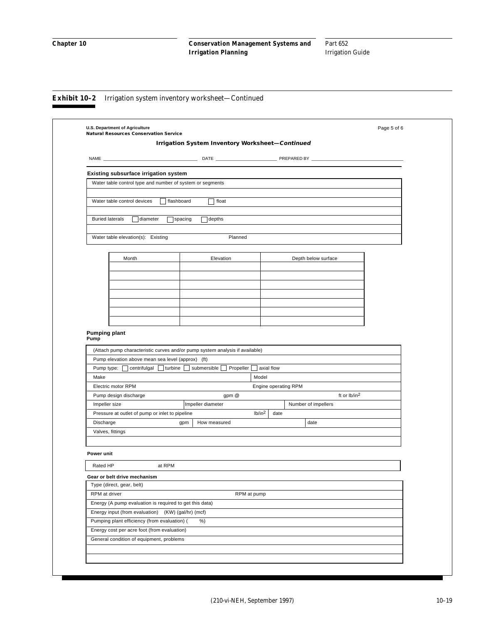|                             | <b>Natural Resources Conservation Service</b>                                                                                                                                          |            | Irrigation System Inventory Worksheet-Continued |                            |                     |                          |  |
|-----------------------------|----------------------------------------------------------------------------------------------------------------------------------------------------------------------------------------|------------|-------------------------------------------------|----------------------------|---------------------|--------------------------|--|
|                             |                                                                                                                                                                                        |            |                                                 |                            |                     |                          |  |
|                             |                                                                                                                                                                                        |            |                                                 |                            |                     |                          |  |
|                             | <b>Existing subsurface irrigation system</b>                                                                                                                                           |            |                                                 |                            |                     |                          |  |
|                             | Water table control type and number of system or segments                                                                                                                              |            |                                                 |                            |                     |                          |  |
|                             |                                                                                                                                                                                        |            |                                                 |                            |                     |                          |  |
|                             | Water table control devices                                                                                                                                                            | flashboard | float                                           |                            |                     |                          |  |
|                             | <b>Buried laterals</b><br>diameter                                                                                                                                                     | spacing    | depths                                          |                            |                     |                          |  |
|                             |                                                                                                                                                                                        |            |                                                 |                            |                     |                          |  |
|                             | Water table elevation(s): Existing                                                                                                                                                     |            | Planned                                         |                            |                     |                          |  |
|                             |                                                                                                                                                                                        |            |                                                 |                            |                     |                          |  |
|                             | Month                                                                                                                                                                                  |            | Elevation                                       |                            | Depth below surface |                          |  |
|                             |                                                                                                                                                                                        |            |                                                 |                            |                     |                          |  |
|                             |                                                                                                                                                                                        |            |                                                 |                            |                     |                          |  |
|                             |                                                                                                                                                                                        |            |                                                 |                            |                     |                          |  |
|                             |                                                                                                                                                                                        |            |                                                 |                            |                     |                          |  |
|                             |                                                                                                                                                                                        |            |                                                 |                            |                     |                          |  |
|                             |                                                                                                                                                                                        |            |                                                 |                            |                     |                          |  |
|                             |                                                                                                                                                                                        |            |                                                 |                            |                     |                          |  |
|                             |                                                                                                                                                                                        |            |                                                 |                            |                     |                          |  |
|                             | (Attach pump characteristic curves and/or pump system analysis if available)<br>Pump elevation above mean sea level (approx) (ft)<br>Pump type:   centrifulgal   turbine   submersible |            | Propeller                                       | axial flow                 |                     |                          |  |
| Make                        |                                                                                                                                                                                        |            |                                                 | Model                      |                     |                          |  |
|                             | Electric motor RPM                                                                                                                                                                     |            |                                                 | Engine operating RPM       |                     | ft or lb/in <sup>2</sup> |  |
|                             | Pump design discharge<br>Impeller size                                                                                                                                                 |            | gpm @<br>Impeller diameter                      |                            | Number of impellers |                          |  |
|                             | Pressure at outlet of pump or inlet to pipeline                                                                                                                                        |            |                                                 | lb/in <sup>2</sup><br>date |                     |                          |  |
| Discharge                   |                                                                                                                                                                                        | gpm        | How measured                                    |                            | date                |                          |  |
|                             | Valves, fittings                                                                                                                                                                       |            |                                                 |                            |                     |                          |  |
|                             |                                                                                                                                                                                        |            |                                                 |                            |                     |                          |  |
|                             |                                                                                                                                                                                        |            |                                                 |                            |                     |                          |  |
|                             |                                                                                                                                                                                        |            |                                                 |                            |                     |                          |  |
| Rated HP                    | at RPM                                                                                                                                                                                 |            |                                                 |                            |                     |                          |  |
|                             | Gear or belt drive mechanism                                                                                                                                                           |            |                                                 |                            |                     |                          |  |
|                             | Type (direct, gear, belt)                                                                                                                                                              |            |                                                 | RPM at pump                |                     |                          |  |
|                             | Energy (A pump evaluation is required to get this data)                                                                                                                                |            |                                                 |                            |                     |                          |  |
| Power unit<br>RPM at driver | Energy input (from evaluation) (KW) (gal/hr) (mcf)                                                                                                                                     |            |                                                 |                            |                     |                          |  |
|                             | Pumping plant efficiency (from evaluation) (                                                                                                                                           |            | %)                                              |                            |                     |                          |  |
|                             | Energy cost per acre foot (from evaluation)                                                                                                                                            |            |                                                 |                            |                     |                          |  |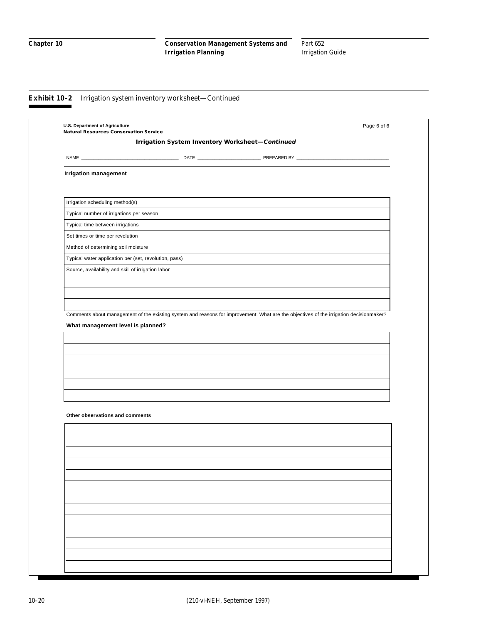| <b>Natural Resources Conservation Service</b>         |                                                 |                                                                                                                                        |  |
|-------------------------------------------------------|-------------------------------------------------|----------------------------------------------------------------------------------------------------------------------------------------|--|
|                                                       | Irrigation System Inventory Worksheet-Continued |                                                                                                                                        |  |
|                                                       |                                                 |                                                                                                                                        |  |
| <b>Irrigation management</b>                          |                                                 |                                                                                                                                        |  |
|                                                       |                                                 |                                                                                                                                        |  |
| Irrigation scheduling method(s)                       |                                                 |                                                                                                                                        |  |
| Typical number of irrigations per season              |                                                 |                                                                                                                                        |  |
| Typical time between irrigations                      |                                                 |                                                                                                                                        |  |
| Set times or time per revolution                      |                                                 |                                                                                                                                        |  |
| Method of determining soil moisture                   |                                                 |                                                                                                                                        |  |
| Typical water application per (set, revolution, pass) |                                                 |                                                                                                                                        |  |
| Source, availability and skill of irrigation labor    |                                                 |                                                                                                                                        |  |
|                                                       |                                                 |                                                                                                                                        |  |
|                                                       |                                                 |                                                                                                                                        |  |
|                                                       |                                                 |                                                                                                                                        |  |
|                                                       |                                                 | Comments about management of the existing system and reasons for improvement. What are the objectives of the irrigation decisionmaker? |  |
| What management level is planned?                     |                                                 |                                                                                                                                        |  |
|                                                       |                                                 |                                                                                                                                        |  |
|                                                       |                                                 |                                                                                                                                        |  |
|                                                       |                                                 |                                                                                                                                        |  |
|                                                       |                                                 |                                                                                                                                        |  |
|                                                       |                                                 |                                                                                                                                        |  |
| Other observations and comments                       |                                                 |                                                                                                                                        |  |
|                                                       |                                                 |                                                                                                                                        |  |
|                                                       |                                                 |                                                                                                                                        |  |
|                                                       |                                                 |                                                                                                                                        |  |
|                                                       |                                                 |                                                                                                                                        |  |
|                                                       |                                                 |                                                                                                                                        |  |
|                                                       |                                                 |                                                                                                                                        |  |
|                                                       |                                                 |                                                                                                                                        |  |
|                                                       |                                                 |                                                                                                                                        |  |
|                                                       |                                                 |                                                                                                                                        |  |
|                                                       |                                                 |                                                                                                                                        |  |
|                                                       |                                                 |                                                                                                                                        |  |
|                                                       |                                                 |                                                                                                                                        |  |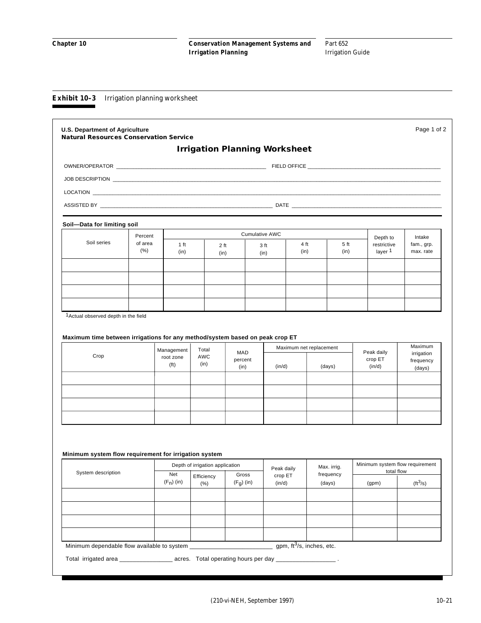#### **Exhibit 10–3** Irrigation planning worksheet

|                                                                         |                 |                                |                                               |                       | <b>Irrigation Planning Worksheet</b> |                              |                                               |                          |
|-------------------------------------------------------------------------|-----------------|--------------------------------|-----------------------------------------------|-----------------------|--------------------------------------|------------------------------|-----------------------------------------------|--------------------------|
|                                                                         |                 |                                |                                               |                       |                                      |                              |                                               |                          |
|                                                                         |                 |                                |                                               |                       |                                      |                              |                                               |                          |
|                                                                         |                 |                                |                                               |                       |                                      |                              |                                               |                          |
| ASSISTED BY THE RESISTED BY THE RESISTED BY A RESISTED BY A RESISTED BY |                 |                                |                                               |                       |                                      |                              |                                               |                          |
| Soil-Data for limiting soil                                             |                 |                                |                                               |                       |                                      |                              |                                               |                          |
| Soil series                                                             | Percent         |                                |                                               | <b>Cumulative AWC</b> |                                      |                              | Depth to                                      | Intake                   |
|                                                                         | of area<br>(% ) | 1 ft<br>(in)                   | 2 ft<br>(in)                                  |                       | 3 ft<br>(in)                         | 4 ft<br>5 ft<br>(in)<br>(in) | restrictive<br>layer <sup>1</sup>             | fam., grp.<br>max. rate  |
|                                                                         |                 |                                |                                               |                       |                                      |                              |                                               |                          |
|                                                                         |                 |                                |                                               |                       |                                      |                              |                                               |                          |
|                                                                         |                 |                                |                                               |                       |                                      |                              |                                               |                          |
| Crop                                                                    |                 | root zone<br>(f <sup>t</sup> ) | <b>AWC</b><br>(in)                            | percent<br>(in)       | (in/d)                               | (days)                       | crop ET<br>(in/d)                             | frequency<br>(days)      |
|                                                                         |                 |                                |                                               |                       |                                      |                              |                                               |                          |
|                                                                         |                 |                                |                                               |                       |                                      |                              |                                               |                          |
| Minimum system flow requirement for irrigation system                   |                 |                                |                                               |                       |                                      |                              |                                               |                          |
| System description                                                      |                 | Net                            | Depth of irrigation application<br>Efficiency | Gross                 | Peak daily<br>crop ET                | Max. irrig.<br>frequency     | Minimum system flow requirement<br>total flow |                          |
|                                                                         |                 | $(F_n)$ (in)                   | (% )                                          | $(F_g)$ (in)          | (in/d)                               | (days)                       | (gpm)                                         | $(\text{ft}^3/\text{s})$ |
|                                                                         |                 |                                |                                               |                       |                                      |                              |                                               |                          |
|                                                                         |                 |                                |                                               |                       |                                      |                              |                                               |                          |
|                                                                         |                 |                                |                                               |                       |                                      |                              |                                               |                          |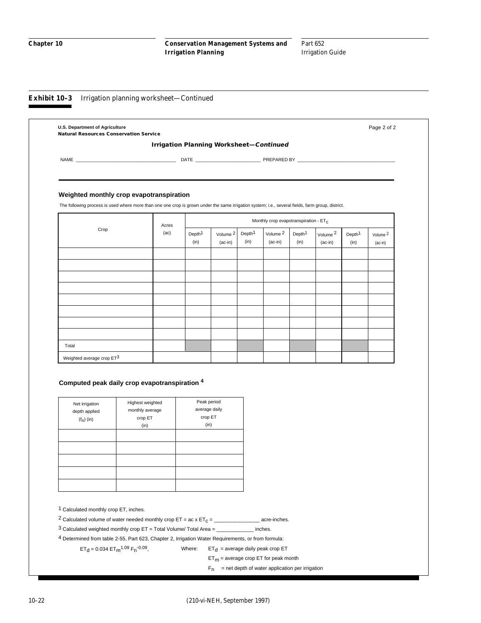#### **Exhibit 10–3** Irrigation planning worksheet—Continued

|                                                                                                                                                   | <b>Irrigation Planning Worksheet-Continued</b> |                    |           |                    |                                                   |                    |                     |                    |           |
|---------------------------------------------------------------------------------------------------------------------------------------------------|------------------------------------------------|--------------------|-----------|--------------------|---------------------------------------------------|--------------------|---------------------|--------------------|-----------|
|                                                                                                                                                   |                                                |                    |           |                    |                                                   |                    |                     |                    |           |
|                                                                                                                                                   |                                                |                    |           |                    |                                                   |                    |                     |                    |           |
|                                                                                                                                                   |                                                |                    |           |                    |                                                   |                    |                     |                    |           |
| Weighted monthly crop evapotranspiration                                                                                                          |                                                |                    |           |                    |                                                   |                    |                     |                    |           |
| The following process is used where more than one one crop is grown under the same irrigation system; i.e., several fields, farm group, district. |                                                |                    |           |                    |                                                   |                    |                     |                    |           |
|                                                                                                                                                   |                                                |                    |           |                    | Monthly crop evapotranspiration - ET <sub>C</sub> |                    |                     |                    |           |
| Crop                                                                                                                                              | Acres<br>(ac)                                  | Depth <sup>1</sup> | Volume 2  | Depth <sup>1</sup> | Volume 2                                          | Depth <sup>1</sup> | Volume <sup>2</sup> | Depth <sup>1</sup> | Volume 2  |
|                                                                                                                                                   |                                                | (in)               | $(ac-in)$ | (in)               | $(ac-in)$                                         | (in)               | $(ac-in)$           | (in)               | $(ac-in)$ |
|                                                                                                                                                   |                                                |                    |           |                    |                                                   |                    |                     |                    |           |
|                                                                                                                                                   |                                                |                    |           |                    |                                                   |                    |                     |                    |           |
|                                                                                                                                                   |                                                |                    |           |                    |                                                   |                    |                     |                    |           |
|                                                                                                                                                   |                                                |                    |           |                    |                                                   |                    |                     |                    |           |
|                                                                                                                                                   |                                                |                    |           |                    |                                                   |                    |                     |                    |           |
|                                                                                                                                                   |                                                |                    |           |                    |                                                   |                    |                     |                    |           |
|                                                                                                                                                   |                                                |                    |           |                    |                                                   |                    |                     |                    |           |
|                                                                                                                                                   |                                                |                    |           |                    |                                                   |                    |                     |                    |           |
|                                                                                                                                                   |                                                |                    |           |                    |                                                   |                    |                     |                    |           |

#### **Computed peak daily crop evapotranspiration <sup>4</sup>**

| Net irrigation<br>depth applied<br>$(f_n)$ (in) | Highest weighted<br>monthly average<br>crop ET<br>(in) | Peak period<br>average daily<br>crop ET<br>(in) |
|-------------------------------------------------|--------------------------------------------------------|-------------------------------------------------|
|                                                 |                                                        |                                                 |

1 Calculated monthly crop ET, inches.

2 Calculated volume of water needed monthly crop  $ET = ac \times ET_C =$ \_\_\_\_\_\_\_\_\_\_\_\_\_\_\_\_\_\_\_\_\_\_ acre-inches.

3 Calculated weighted monthly crop ET = Total Volume/ Total Area = \_\_\_\_\_\_\_\_\_\_\_\_\_ inches.

4 Determined from table 2-55, Part 623, Chapter 2, Irrigation Water Requirements, or from formula:

 $ET_d = 0.034 ET_m$ <sup>1.09</sup>  $F_n$ <sup>-0.09</sup>,

Where:  $ET_d$  = average daily peak crop ET

 $ET_m$  = average crop ET for peak month

 $F_n$  = net depth of water application per irrigation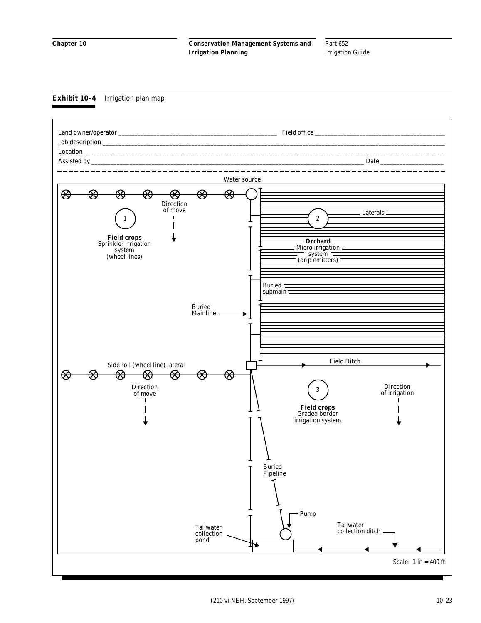Part 652 Irrigation Guide

#### **Exhibit 10–4** Irrigation plan map

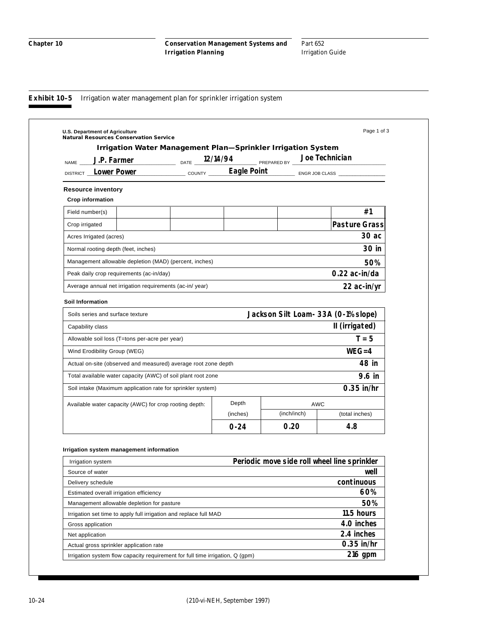#### **Exhibit 10-5** Irrigation water management plan for sprinkler irrigation system

| U.S. Department of Agriculture<br><b>Natural Resources Conservation Service</b> |                      |             |             |             | Page 1 of 3                                  |
|---------------------------------------------------------------------------------|----------------------|-------------|-------------|-------------|----------------------------------------------|
| <b>Irrigation Water Management Plan-Sprinkler Irrigation System</b>             |                      |             |             |             |                                              |
| J.P. Farmer<br>DATE<br><b>NAME</b>                                              | 12/14/94             |             | PREPARED BY |             | Joe Technician                               |
| Lower Power<br><b>DISTRICT</b>                                                  | $\sim$ COUNTY $\sim$ | Eagle Point |             |             | ENGR JOB CLASS                               |
| <b>Resource inventory</b>                                                       |                      |             |             |             |                                              |
| <b>Crop information</b>                                                         |                      |             |             |             |                                              |
| Field number(s)                                                                 |                      |             |             |             | #1                                           |
| Crop irrigated                                                                  |                      |             |             |             | <b>Pasture Grass</b>                         |
| Acres Irrigated (acres)                                                         |                      |             |             |             | 30 ac                                        |
| Normal rooting depth (feet, inches)                                             |                      |             |             |             | 30 in                                        |
| Management allowable depletion (MAD) (percent, inches)                          |                      |             |             |             | 50%                                          |
| Peak daily crop requirements (ac-in/day)                                        |                      |             |             |             | 0.22 ac-in/da                                |
| Average annual net irrigation requirements (ac-in/year)                         |                      |             |             |             | 22 ac-in/yr                                  |
| <b>Soil Information</b>                                                         |                      |             |             |             |                                              |
| Soils series and surface texture                                                |                      |             |             |             | Jackson Silt Loam- 33A (0-1% slope)          |
| Capability class                                                                |                      |             |             |             | II (irrigated)                               |
| Allowable soil loss (T=tons per-acre per year)                                  |                      |             |             |             | $T = 5$                                      |
| Wind Erodibility Group (WEG)                                                    |                      |             |             |             | $WEG = 4$                                    |
| Actual on-site (observed and measured) average root zone depth                  |                      |             |             |             | 48 in                                        |
| Total available water capacity (AWC) of soil plant root zone                    |                      |             |             |             | 9.6 in                                       |
| Soil intake (Maximum application rate for sprinkler system)                     |                      |             |             |             | $0.35$ in/hr                                 |
| Available water capacity (AWC) for crop rooting depth:                          | Depth                |             | <b>AWC</b>  |             |                                              |
|                                                                                 |                      | (inches)    |             | (inch/inch) | (total inches)                               |
|                                                                                 |                      | $0 - 24$    |             | 0.20        | 4.8                                          |
|                                                                                 |                      |             |             |             |                                              |
| Irrigation system management information                                        |                      |             |             |             |                                              |
| Irrigation system                                                               |                      |             |             |             | Periodic move side roll wheel line sprinkler |
| Source of water                                                                 |                      |             |             |             | well                                         |
| Delivery schedule                                                               |                      |             |             |             | continuous                                   |
| Estimated overall irrigation efficiency                                         |                      |             |             |             | 60%                                          |
| Management allowable depletion for pasture                                      |                      |             |             |             | 50%                                          |
| Irrigation set time to apply full irrigation and replace full MAD               |                      |             |             |             | 11.5 hours                                   |
| Gross application                                                               |                      |             |             |             | 4.0 inches                                   |
| Net application                                                                 |                      |             |             |             | 2.4 inches                                   |
| Actual gross sprinkler application rate                                         |                      |             |             |             | $0.35$ in/hr                                 |
| Irrigation system flow capacity requirement for full time irrigation, Q (gpm)   |                      |             |             |             | 216 gpm                                      |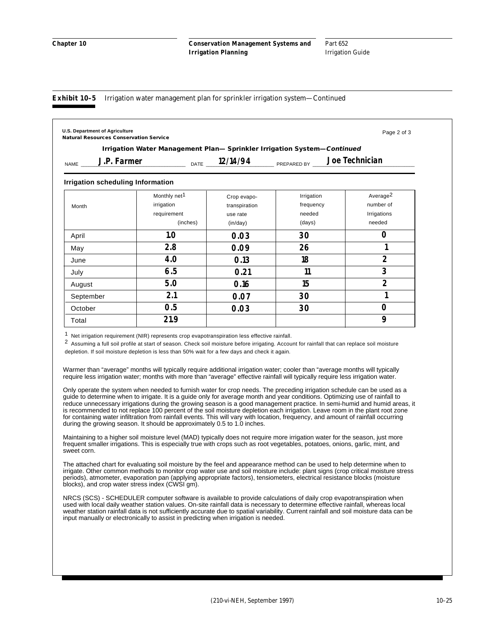#### **Exhibit 10–5** Irrigation water management plan for sprinkler irrigation system—Continued

|                                          | Irrigation Water Management Plan- Sprinkler Irrigation System-Continued |               |             |                      |
|------------------------------------------|-------------------------------------------------------------------------|---------------|-------------|----------------------|
| J.P. Farmer<br><b>NAME</b>               |                                                                         | DATE 12/14/94 | PREPARED BY | Joe Technician       |
| <b>Irrigation scheduling Information</b> |                                                                         |               |             |                      |
|                                          | Monthly net <sup>1</sup>                                                | Crop evapo-   | Irrigation  | Average <sup>2</sup> |
| Month                                    | irrigation                                                              | transpiration | frequency   | number of            |
|                                          | requirement                                                             | use rate      | needed      | Irrigations          |
|                                          | (inches)                                                                | (in/day)      | (days)      | needed               |
| April                                    | 1.0                                                                     | 0.03          | 30          | $\Omega$             |
| May                                      | 2.8                                                                     | 0.09          | 26          |                      |
| June                                     | 4.0                                                                     | 0.13          | 18          | $\overline{2}$       |
| July                                     | 6.5                                                                     | 0.21          | 11          | 3                    |
| August                                   | 5.0                                                                     | 0.16          | 15          | 2                    |
| September                                | 2.1                                                                     | 0.07          | 30          |                      |
| October                                  | 0.5                                                                     | 0.03          | 30          | 0                    |
| Total                                    | 21.9                                                                    |               |             | 9                    |

depletion. If soil moisture depletion is less than 50% wait for a few days and check it again.

Warmer than "average" months will typically require additional irrigation water; cooler than "average months will typically require less irrigation water; months with more than "average" effective rainfall will typically require less irrigation water.

Only operate the system when needed to furnish water for crop needs. The preceding irrigation schedule can be used as a guide to determine when to irrigate. It is a guide only for average month and year conditions. Optimizing use of rainfall to reduce unnecessary irrigations during the growing season is a good management practice. In semi-humid and humid areas, it is recommended to not replace 100 percent of the soil moisture depletion each irrigation. Leave room in the plant root zone for containing water infiltration from rainfall events. This will vary with location, frequency, and amount of rainfall occurring during the growing season. It should be approximately 0.5 to 1.0 inches.

Maintaining to a higher soil moisture level (MAD) typically does not require more irrigation water for the season, just more frequent smaller irrigations. This is especially true with crops such as root vegetables, potatoes, onions, garlic, mint, and sweet corn.

The attached chart for evaluating soil moisture by the feel and appearance method can be used to help determine when to irrigate. Other common methods to monitor crop water use and soil moisture include: plant signs (crop critical moisture stress periods), atmometer, evaporation pan (applying appropriate factors), tensiometers, electrical resistance blocks (moisture blocks), and crop water stress index (CWSI gm).

NRCS (SCS) - SCHEDULER computer software is available to provide calculations of daily crop evapotranspiration when used with local daily weather station values. On-site rainfall data is necessary to determine effective rainfall, whereas local weather station rainfall data is not sufficiently accurate due to spatial variability. Current rainfall and soil moisture data can be input manually or electronically to assist in predicting when irrigation is needed.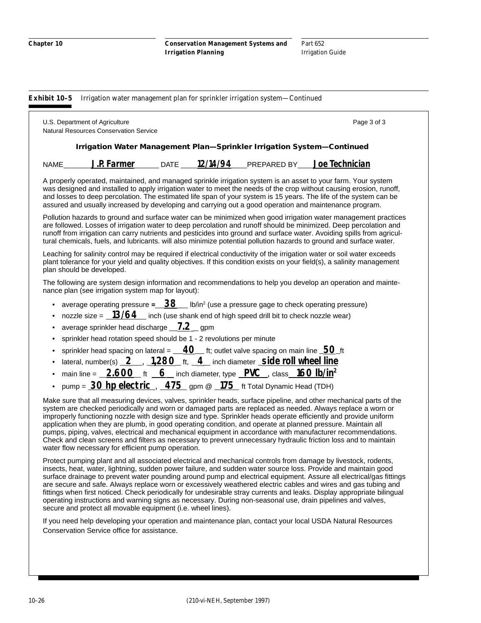**Exhibit 10–5** Irrigation water management plan for sprinkler irrigation system—Continued

|                                                                        | U.S. Department of Agriculture<br><b>Natural Resources Conservation Service</b>                                                                                                                                                                   |  |  |                                                                            | Page 3 of 3                                                                                                                                                                                                                                                                                                                                                                                                                                                                                                                                                                                                                                                                                           |  |  |
|------------------------------------------------------------------------|---------------------------------------------------------------------------------------------------------------------------------------------------------------------------------------------------------------------------------------------------|--|--|----------------------------------------------------------------------------|-------------------------------------------------------------------------------------------------------------------------------------------------------------------------------------------------------------------------------------------------------------------------------------------------------------------------------------------------------------------------------------------------------------------------------------------------------------------------------------------------------------------------------------------------------------------------------------------------------------------------------------------------------------------------------------------------------|--|--|
| Irrigation Water Management Plan-Sprinkler Irrigation System-Continued |                                                                                                                                                                                                                                                   |  |  |                                                                            |                                                                                                                                                                                                                                                                                                                                                                                                                                                                                                                                                                                                                                                                                                       |  |  |
| NAME                                                                   |                                                                                                                                                                                                                                                   |  |  | J.P. Farmer _____ DATE _____ 12/14/94 ____ PREPARED BY ____ Joe Technician |                                                                                                                                                                                                                                                                                                                                                                                                                                                                                                                                                                                                                                                                                                       |  |  |
|                                                                        | assured and usually increased by developing and carrying out a good operation and maintenance program.                                                                                                                                            |  |  |                                                                            | A properly operated, maintained, and managed sprinkle irrigation system is an asset to your farm. Your system<br>was designed and installed to apply irrigation water to meet the needs of the crop without causing erosion, runoff,<br>and losses to deep percolation. The estimated life span of your system is 15 years. The life of the system can be                                                                                                                                                                                                                                                                                                                                             |  |  |
|                                                                        |                                                                                                                                                                                                                                                   |  |  |                                                                            | Pollution hazards to ground and surface water can be minimized when good irrigation water management practices<br>are followed. Losses of irrigation water to deep percolation and runoff should be minimized. Deep percolation and<br>runoff from irrigation can carry nutrients and pesticides into ground and surface water. Avoiding spills from agricul-<br>tural chemicals, fuels, and lubricants. will also minimize potential pollution hazards to ground and surface water.                                                                                                                                                                                                                  |  |  |
|                                                                        | plan should be developed.                                                                                                                                                                                                                         |  |  |                                                                            | Leaching for salinity control may be required if electrical conductivity of the irrigation water or soil water exceeds<br>plant tolerance for your yield and quality objectives. If this condition exists on your field(s), a salinity management                                                                                                                                                                                                                                                                                                                                                                                                                                                     |  |  |
|                                                                        | nance plan (see irrigation system map for layout):                                                                                                                                                                                                |  |  |                                                                            | The following are system design information and recommendations to help you develop an operation and mainte-                                                                                                                                                                                                                                                                                                                                                                                                                                                                                                                                                                                          |  |  |
| $\bullet$<br>$\bullet$<br>$\bullet$                                    | average operating pressure = $-38$ Ib/in <sup>2</sup> (use a pressure gage to check operating pressure)<br>nozzle size = $13/64$ inch (use shank end of high speed drill bit to check nozzle wear)<br>average sprinkler head discharge $-7.2$ gpm |  |  |                                                                            |                                                                                                                                                                                                                                                                                                                                                                                                                                                                                                                                                                                                                                                                                                       |  |  |
| $\bullet$                                                              | sprinkler head rotation speed should be 1 - 2 revolutions per minute                                                                                                                                                                              |  |  |                                                                            |                                                                                                                                                                                                                                                                                                                                                                                                                                                                                                                                                                                                                                                                                                       |  |  |
| $\bullet$                                                              | sprinkler head spacing on lateral = $\underline{\hspace{1cm}}$ 40 ft; outlet valve spacing on main line $\underline{\hspace{1cm}}$ 50 ft                                                                                                          |  |  |                                                                            |                                                                                                                                                                                                                                                                                                                                                                                                                                                                                                                                                                                                                                                                                                       |  |  |
| $\bullet$                                                              | lateral, number(s) 2, 1,280 ft, 4 inch diameter side roll wheel line                                                                                                                                                                              |  |  |                                                                            |                                                                                                                                                                                                                                                                                                                                                                                                                                                                                                                                                                                                                                                                                                       |  |  |
| $\bullet$                                                              | main line = $\frac{2.600}{+}$ ft $\frac{6}{-}$ inch diameter, type $\frac{PVC}{-}$ , class $\frac{160 \text{ lb/in}^2}{-}$                                                                                                                        |  |  |                                                                            |                                                                                                                                                                                                                                                                                                                                                                                                                                                                                                                                                                                                                                                                                                       |  |  |
|                                                                        | pump = $30$ hp electric, $475$ gpm @ $175$ ft Total Dynamic Head (TDH)                                                                                                                                                                            |  |  |                                                                            |                                                                                                                                                                                                                                                                                                                                                                                                                                                                                                                                                                                                                                                                                                       |  |  |
|                                                                        | water flow necessary for efficient pump operation.                                                                                                                                                                                                |  |  |                                                                            | Make sure that all measuring devices, valves, sprinkler heads, surface pipeline, and other mechanical parts of the<br>system are checked periodically and worn or damaged parts are replaced as needed. Always replace a worn or<br>improperly functioning nozzle with design size and type. Sprinkler heads operate efficiently and provide uniform<br>application when they are plumb, in good operating condition, and operate at planned pressure. Maintain all<br>pumps, piping, valves, electrical and mechanical equipment in accordance with manufacturer recommendations.<br>Check and clean screens and filters as necessary to prevent unnecessary hydraulic friction loss and to maintain |  |  |
|                                                                        |                                                                                                                                                                                                                                                   |  |  |                                                                            | Protect pumping plant and all associated electrical and mechanical controls from damage by livestock, rodents,<br>insects, heat, water, lightning, sudden power failure, and sudden water source loss. Provide and maintain good<br>surface drainage to prevent water pounding around pump and electrical equipment. Assure all electrical/gas fittings<br>are secure and safe. Always replace worn or excessively weathered electric cables and wires and gas tubing and<br>fittings when first noticed. Check periodically for undesirable stray currents and leaks. Display appropriate bilingual                                                                                                  |  |  |

If you need help developing your operation and maintenance plan, contact your local USDA Natural Resources Conservation Service office for assistance.

operating instructions and warning signs as necessary. During non-seasonal use, drain pipelines and valves,

secure and protect all movable equipment (i.e. wheel lines).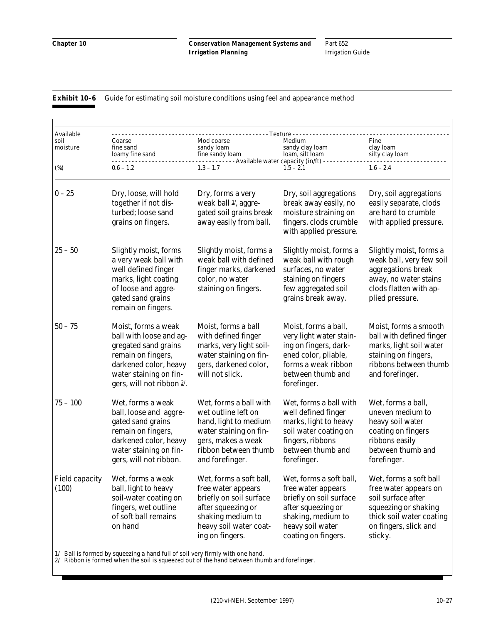Part 652 Irrigation Guide

#### **Exhibit 10-6** Guide for estimating soil moisture conditions using feel and appearance method

| Available<br>soil<br>moisture  | Coarse<br>fine sand<br>loamy fine sand                                                                                                                                       | - - - Texture -<br>Mod coarse<br>sandy loam<br>fine sandy loam<br>- - - - - - - Available water capacity (in/ft) -                                                | Medium<br>sandy clay loam<br>loam, silt loam                                                                                                                    | Fine<br>clay loam<br>silty clay loam                                                                                                                          |
|--------------------------------|------------------------------------------------------------------------------------------------------------------------------------------------------------------------------|-------------------------------------------------------------------------------------------------------------------------------------------------------------------|-----------------------------------------------------------------------------------------------------------------------------------------------------------------|---------------------------------------------------------------------------------------------------------------------------------------------------------------|
| $(\%)$                         | $0.6 - 1.2$                                                                                                                                                                  | $1.3 - 1.7$                                                                                                                                                       | $1.5 - 2.1$                                                                                                                                                     | $1.6 - 2.4$                                                                                                                                                   |
| $0 - 25$                       | Dry, loose, will hold<br>together if not dis-<br>turbed; loose sand<br>grains on fingers.                                                                                    | Dry, forms a very<br>weak ball 1/, aggre-<br>gated soil grains break<br>away easily from ball.                                                                    | Dry, soil aggregations<br>break away easily, no<br>moisture straining on<br>fingers, clods crumble<br>with applied pressure.                                    | Dry, soil aggregations<br>easily separate, clods<br>are hard to crumble<br>with applied pressure.                                                             |
| $25 - 50$                      | Slightly moist, forms<br>a very weak ball with<br>well defined finger<br>marks, light coating<br>of loose and aggre-<br>gated sand grains<br>remain on fingers.              | Slightly moist, forms a<br>weak ball with defined<br>finger marks, darkened<br>color, no water<br>staining on fingers.                                            | Slightly moist, forms a<br>weak ball with rough<br>surfaces, no water<br>staining on fingers<br>few aggregated soil<br>grains break away.                       | Slightly moist, forms a<br>weak ball, very few soil<br>aggregations break<br>away, no water stains<br>clods flatten with ap-<br>plied pressure.               |
| $50 - 75$                      | Moist, forms a weak<br>ball with loose and ag-<br>gregated sand grains<br>remain on fingers,<br>darkened color, heavy<br>water staining on fin-<br>gers, will not ribbon 2/. | Moist, forms a ball<br>with defined finger<br>marks, very light soil-<br>water staining on fin-<br>gers, darkened color,<br>will not slick.                       | Moist, forms a ball,<br>very light water stain-<br>ing on fingers, dark-<br>ened color, pliable,<br>forms a weak ribbon<br>between thumb and<br>forefinger.     | Moist, forms a smooth<br>ball with defined finger<br>marks, light soil water<br>staining on fingers,<br>ribbons between thumb<br>and forefinger.              |
| $75 - 100$                     | Wet, forms a weak<br>ball, loose and aggre-<br>gated sand grains<br>remain on fingers,<br>darkened color, heavy<br>water staining on fin-<br>gers, will not ribbon.          | Wet, forms a ball with<br>wet outline left on<br>hand, light to medium<br>water staining on fin-<br>gers, makes a weak<br>ribbon between thumb<br>and forefinger. | Wet, forms a ball with<br>well defined finger<br>marks, light to heavy<br>soil water coating on<br>fingers, ribbons<br>between thumb and<br>forefinger.         | Wet, forms a ball,<br>uneven medium to<br>heavy soil water<br>coating on fingers<br>ribbons easily<br>between thumb and<br>forefinger.                        |
| <b>Field capacity</b><br>(100) | Wet, forms a weak<br>ball, light to heavy<br>soil-water coating on<br>fingers, wet outline<br>of soft ball remains<br>on hand                                                | Wet, forms a soft ball,<br>free water appears<br>briefly on soil surface<br>after squeezing or<br>shaking medium to<br>heavy soil water coat-<br>ing on fingers.  | Wet, forms a soft ball,<br>free water appears<br>briefly on soil surface<br>after squeezing or<br>shaking, medium to<br>heavy soil water<br>coating on fingers. | Wet, forms a soft ball<br>free water appears on<br>soil surface after<br>squeezing or shaking<br>thick soil water coating<br>on fingers, slick and<br>sticky. |

1/ Ball is formed by squeezing a hand full of soil very firmly with one hand.

2/ Ribbon is formed when the soil is squeezed out of the hand between thumb and forefinger.